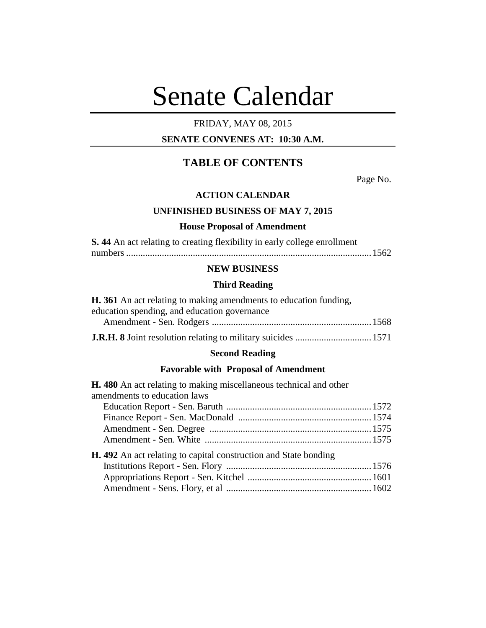# Senate Calendar

# FRIDAY, MAY 08, 2015

# **SENATE CONVENES AT: 10:30 A.M.**

# **TABLE OF CONTENTS**

Page No.

#### **ACTION CALENDAR**

# **UNFINISHED BUSINESS OF MAY 7, 2015**

# **House Proposal of Amendment**

| S. 44 An act relating to creating flexibility in early college enrollment |  |
|---------------------------------------------------------------------------|--|
|                                                                           |  |

# **NEW BUSINESS**

# **Third Reading**

| <b>H.</b> 361 An act relating to making amendments to education funding, |  |
|--------------------------------------------------------------------------|--|
| education spending, and education governance                             |  |
|                                                                          |  |
|                                                                          |  |

# **Second Reading**

# **Favorable with Proposal of Amendment**

| <b>H.</b> 480 An act relating to making miscellaneous technical and other |  |
|---------------------------------------------------------------------------|--|
| amendments to education laws                                              |  |
|                                                                           |  |
|                                                                           |  |
|                                                                           |  |
|                                                                           |  |
| <b>H.</b> 492 An act relating to capital construction and State bonding   |  |
|                                                                           |  |
|                                                                           |  |
|                                                                           |  |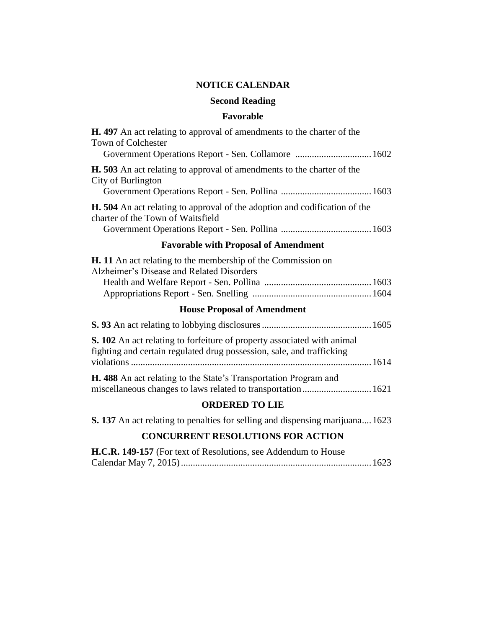# **NOTICE CALENDAR**

# **Second Reading**

# **Favorable**

| <b>H.</b> 497 An act relating to approval of amendments to the charter of the<br>Town of Colchester                    |
|------------------------------------------------------------------------------------------------------------------------|
| <b>H.</b> 503 An act relating to approval of amendments to the charter of the<br>City of Burlington                    |
| <b>H.</b> 504 An act relating to approval of the adoption and codification of the<br>charter of the Town of Waitsfield |
| <b>Favorable with Proposal of Amendment</b>                                                                            |
| <b>H.</b> 11 An act relating to the membership of the Commission on                                                    |

# **H. 11** An act relating to the membership of the Commission on Alzheimer's Disease and Related Disorders Health and Welfare Report - Sen. Pollina .............................................1603 Appropriations Report - Sen. Snelling ..................................................1604

# **House Proposal of Amendment**

| <b>S. 102</b> An act relating to forfeiture of property associated with animal<br>fighting and certain regulated drug possession, sale, and trafficking |  |
|---------------------------------------------------------------------------------------------------------------------------------------------------------|--|
| <b>H. 488</b> An act relating to the State's Transportation Program and                                                                                 |  |

# **ORDERED TO LIE**

|  |  | S. 137 An act relating to penalties for selling and dispensing marijuana 1623 |  |  |  |  |  |
|--|--|-------------------------------------------------------------------------------|--|--|--|--|--|
|  |  |                                                                               |  |  |  |  |  |

# **CONCURRENT RESOLUTIONS FOR ACTION**

| H.C.R. 149-157 (For text of Resolutions, see Addendum to House |  |
|----------------------------------------------------------------|--|
|                                                                |  |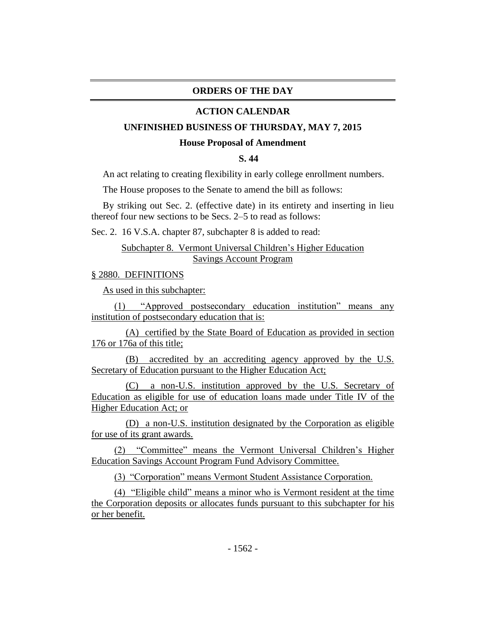# **ORDERS OF THE DAY**

#### **ACTION CALENDAR**

#### **UNFINISHED BUSINESS OF THURSDAY, MAY 7, 2015**

#### **House Proposal of Amendment**

## **S. 44**

An act relating to creating flexibility in early college enrollment numbers.

The House proposes to the Senate to amend the bill as follows:

By striking out Sec. 2. (effective date) in its entirety and inserting in lieu thereof four new sections to be Secs. 2–5 to read as follows:

Sec. 2. 16 V.S.A. chapter 87, subchapter 8 is added to read:

#### Subchapter 8. Vermont Universal Children's Higher Education Savings Account Program

#### § 2880. DEFINITIONS

As used in this subchapter:

(1) "Approved postsecondary education institution" means any institution of postsecondary education that is:

(A) certified by the State Board of Education as provided in section 176 or 176a of this title;

(B) accredited by an accrediting agency approved by the U.S. Secretary of Education pursuant to the Higher Education Act;

(C) a non-U.S. institution approved by the U.S. Secretary of Education as eligible for use of education loans made under Title IV of the Higher Education Act; or

(D) a non-U.S. institution designated by the Corporation as eligible for use of its grant awards.

(2) "Committee" means the Vermont Universal Children's Higher Education Savings Account Program Fund Advisory Committee.

(3) "Corporation" means Vermont Student Assistance Corporation.

(4) "Eligible child" means a minor who is Vermont resident at the time the Corporation deposits or allocates funds pursuant to this subchapter for his or her benefit.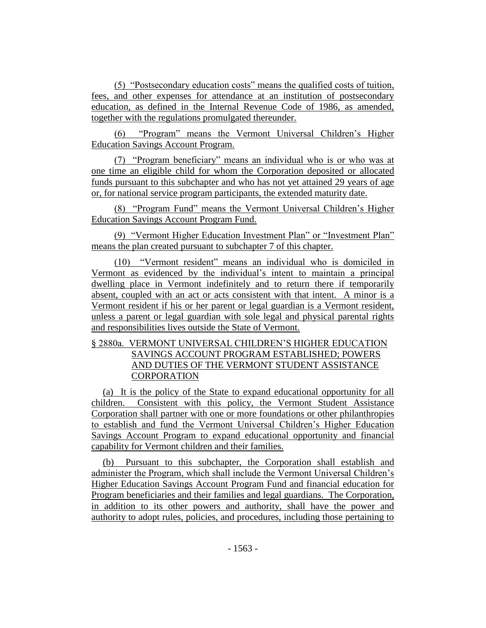(5) "Postsecondary education costs" means the qualified costs of tuition, fees, and other expenses for attendance at an institution of postsecondary education, as defined in the Internal Revenue Code of 1986, as amended, together with the regulations promulgated thereunder.

(6) "Program" means the Vermont Universal Children's Higher Education Savings Account Program.

(7) "Program beneficiary" means an individual who is or who was at one time an eligible child for whom the Corporation deposited or allocated funds pursuant to this subchapter and who has not yet attained 29 years of age or, for national service program participants, the extended maturity date.

(8) "Program Fund" means the Vermont Universal Children's Higher Education Savings Account Program Fund.

(9) "Vermont Higher Education Investment Plan" or "Investment Plan" means the plan created pursuant to subchapter 7 of this chapter.

(10) "Vermont resident" means an individual who is domiciled in Vermont as evidenced by the individual's intent to maintain a principal dwelling place in Vermont indefinitely and to return there if temporarily absent, coupled with an act or acts consistent with that intent. A minor is a Vermont resident if his or her parent or legal guardian is a Vermont resident, unless a parent or legal guardian with sole legal and physical parental rights and responsibilities lives outside the State of Vermont.

# § 2880a. VERMONT UNIVERSAL CHILDREN'S HIGHER EDUCATION SAVINGS ACCOUNT PROGRAM ESTABLISHED; POWERS AND DUTIES OF THE VERMONT STUDENT ASSISTANCE **CORPORATION**

(a) It is the policy of the State to expand educational opportunity for all children. Consistent with this policy, the Vermont Student Assistance Corporation shall partner with one or more foundations or other philanthropies to establish and fund the Vermont Universal Children's Higher Education Savings Account Program to expand educational opportunity and financial capability for Vermont children and their families.

(b) Pursuant to this subchapter, the Corporation shall establish and administer the Program, which shall include the Vermont Universal Children's Higher Education Savings Account Program Fund and financial education for Program beneficiaries and their families and legal guardians. The Corporation, in addition to its other powers and authority, shall have the power and authority to adopt rules, policies, and procedures, including those pertaining to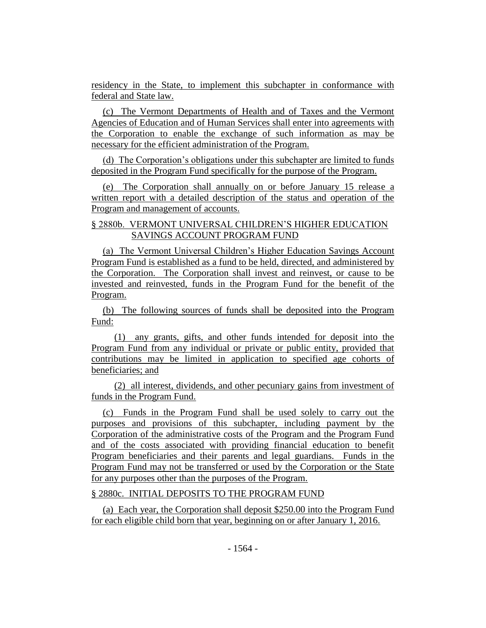residency in the State, to implement this subchapter in conformance with federal and State law.

(c) The Vermont Departments of Health and of Taxes and the Vermont Agencies of Education and of Human Services shall enter into agreements with the Corporation to enable the exchange of such information as may be necessary for the efficient administration of the Program.

(d) The Corporation's obligations under this subchapter are limited to funds deposited in the Program Fund specifically for the purpose of the Program.

(e) The Corporation shall annually on or before January 15 release a written report with a detailed description of the status and operation of the Program and management of accounts.

# § 2880b. VERMONT UNIVERSAL CHILDREN'S HIGHER EDUCATION SAVINGS ACCOUNT PROGRAM FUND

(a) The Vermont Universal Children's Higher Education Savings Account Program Fund is established as a fund to be held, directed, and administered by the Corporation. The Corporation shall invest and reinvest, or cause to be invested and reinvested, funds in the Program Fund for the benefit of the Program.

(b) The following sources of funds shall be deposited into the Program Fund:

(1) any grants, gifts, and other funds intended for deposit into the Program Fund from any individual or private or public entity, provided that contributions may be limited in application to specified age cohorts of beneficiaries; and

(2) all interest, dividends, and other pecuniary gains from investment of funds in the Program Fund.

(c) Funds in the Program Fund shall be used solely to carry out the purposes and provisions of this subchapter, including payment by the Corporation of the administrative costs of the Program and the Program Fund and of the costs associated with providing financial education to benefit Program beneficiaries and their parents and legal guardians. Funds in the Program Fund may not be transferred or used by the Corporation or the State for any purposes other than the purposes of the Program.

# § 2880c. INITIAL DEPOSITS TO THE PROGRAM FUND

(a) Each year, the Corporation shall deposit \$250.00 into the Program Fund for each eligible child born that year, beginning on or after January 1, 2016.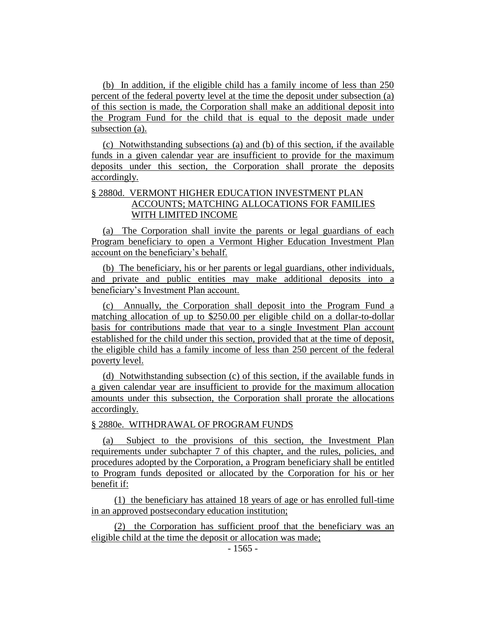(b) In addition, if the eligible child has a family income of less than 250 percent of the federal poverty level at the time the deposit under subsection (a) of this section is made, the Corporation shall make an additional deposit into the Program Fund for the child that is equal to the deposit made under subsection (a).

(c) Notwithstanding subsections (a) and (b) of this section, if the available funds in a given calendar year are insufficient to provide for the maximum deposits under this section, the Corporation shall prorate the deposits accordingly.

# § 2880d. VERMONT HIGHER EDUCATION INVESTMENT PLAN ACCOUNTS; MATCHING ALLOCATIONS FOR FAMILIES WITH LIMITED INCOME

(a) The Corporation shall invite the parents or legal guardians of each Program beneficiary to open a Vermont Higher Education Investment Plan account on the beneficiary's behalf.

(b) The beneficiary, his or her parents or legal guardians, other individuals, and private and public entities may make additional deposits into a beneficiary's Investment Plan account.

(c) Annually, the Corporation shall deposit into the Program Fund a matching allocation of up to \$250.00 per eligible child on a dollar-to-dollar basis for contributions made that year to a single Investment Plan account established for the child under this section, provided that at the time of deposit, the eligible child has a family income of less than 250 percent of the federal poverty level.

(d) Notwithstanding subsection (c) of this section, if the available funds in a given calendar year are insufficient to provide for the maximum allocation amounts under this subsection, the Corporation shall prorate the allocations accordingly.

#### § 2880e. WITHDRAWAL OF PROGRAM FUNDS

(a) Subject to the provisions of this section, the Investment Plan requirements under subchapter 7 of this chapter, and the rules, policies, and procedures adopted by the Corporation, a Program beneficiary shall be entitled to Program funds deposited or allocated by the Corporation for his or her benefit if:

(1) the beneficiary has attained 18 years of age or has enrolled full-time in an approved postsecondary education institution;

(2) the Corporation has sufficient proof that the beneficiary was an eligible child at the time the deposit or allocation was made;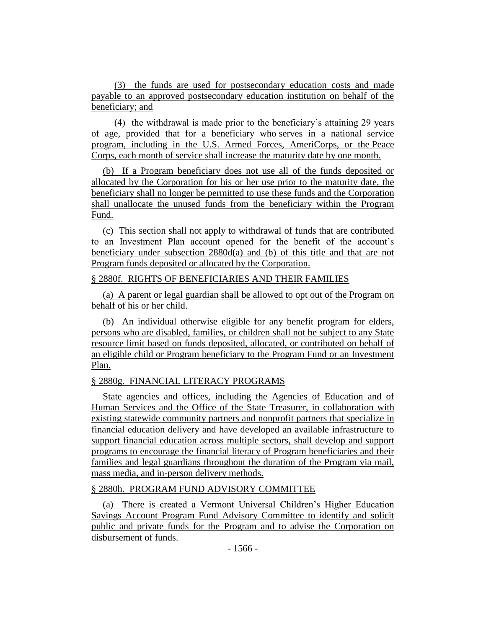(3) the funds are used for postsecondary education costs and made payable to an approved postsecondary education institution on behalf of the beneficiary; and

(4) the withdrawal is made prior to the beneficiary's attaining 29 years of age, provided that for a beneficiary who serves in a national service program, including in the U.S. Armed Forces, AmeriCorps, or the Peace Corps, each month of service shall increase the maturity date by one month.

(b) If a Program beneficiary does not use all of the funds deposited or allocated by the Corporation for his or her use prior to the maturity date, the beneficiary shall no longer be permitted to use these funds and the Corporation shall unallocate the unused funds from the beneficiary within the Program Fund.

(c) This section shall not apply to withdrawal of funds that are contributed to an Investment Plan account opened for the benefit of the account's beneficiary under subsection  $2880d(a)$  and (b) of this title and that are not Program funds deposited or allocated by the Corporation.

#### § 2880f. RIGHTS OF BENEFICIARIES AND THEIR FAMILIES

(a) A parent or legal guardian shall be allowed to opt out of the Program on behalf of his or her child.

(b) An individual otherwise eligible for any benefit program for elders, persons who are disabled, families, or children shall not be subject to any State resource limit based on funds deposited, allocated, or contributed on behalf of an eligible child or Program beneficiary to the Program Fund or an Investment Plan.

# § 2880g. FINANCIAL LITERACY PROGRAMS

State agencies and offices, including the Agencies of Education and of Human Services and the Office of the State Treasurer, in collaboration with existing statewide community partners and nonprofit partners that specialize in financial education delivery and have developed an available infrastructure to support financial education across multiple sectors, shall develop and support programs to encourage the financial literacy of Program beneficiaries and their families and legal guardians throughout the duration of the Program via mail, mass media, and in-person delivery methods.

# § 2880h. PROGRAM FUND ADVISORY COMMITTEE

(a) There is created a Vermont Universal Children's Higher Education Savings Account Program Fund Advisory Committee to identify and solicit public and private funds for the Program and to advise the Corporation on disbursement of funds.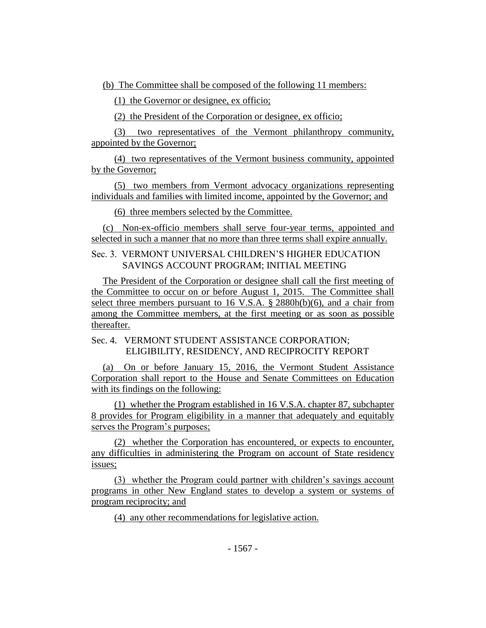(b) The Committee shall be composed of the following 11 members:

(1) the Governor or designee, ex officio;

(2) the President of the Corporation or designee, ex officio;

(3) two representatives of the Vermont philanthropy community, appointed by the Governor;

(4) two representatives of the Vermont business community, appointed by the Governor;

(5) two members from Vermont advocacy organizations representing individuals and families with limited income, appointed by the Governor; and

(6) three members selected by the Committee.

(c) Non-ex-officio members shall serve four-year terms, appointed and selected in such a manner that no more than three terms shall expire annually.

Sec. 3. VERMONT UNIVERSAL CHILDREN'S HIGHER EDUCATION SAVINGS ACCOUNT PROGRAM; INITIAL MEETING

The President of the Corporation or designee shall call the first meeting of the Committee to occur on or before August 1, 2015. The Committee shall select three members pursuant to 16 V.S.A. § 2880h(b)(6), and a chair from among the Committee members, at the first meeting or as soon as possible thereafter.

Sec. 4. VERMONT STUDENT ASSISTANCE CORPORATION; ELIGIBILITY, RESIDENCY, AND RECIPROCITY REPORT

(a) On or before January 15, 2016, the Vermont Student Assistance Corporation shall report to the House and Senate Committees on Education with its findings on the following:

(1) whether the Program established in 16 V.S.A. chapter 87, subchapter 8 provides for Program eligibility in a manner that adequately and equitably serves the Program's purposes;

(2) whether the Corporation has encountered, or expects to encounter, any difficulties in administering the Program on account of State residency issues;

(3) whether the Program could partner with children's savings account programs in other New England states to develop a system or systems of program reciprocity; and

(4) any other recommendations for legislative action.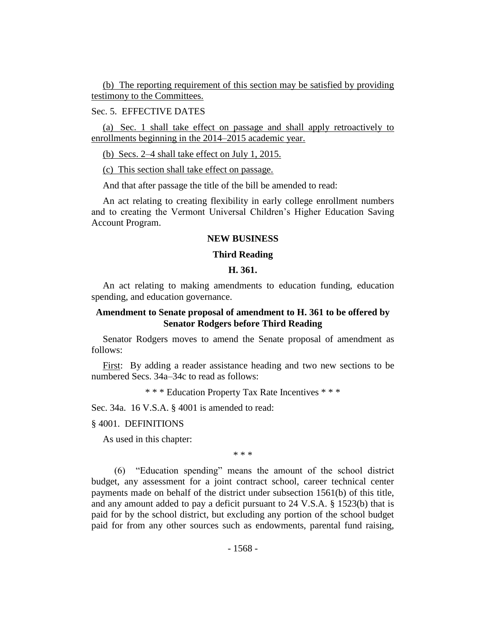(b) The reporting requirement of this section may be satisfied by providing testimony to the Committees.

#### Sec. 5. EFFECTIVE DATES

(a) Sec. 1 shall take effect on passage and shall apply retroactively to enrollments beginning in the 2014–2015 academic year.

(b) Secs. 2–4 shall take effect on July 1, 2015.

(c) This section shall take effect on passage.

And that after passage the title of the bill be amended to read:

An act relating to creating flexibility in early college enrollment numbers and to creating the Vermont Universal Children's Higher Education Saving Account Program.

#### **NEW BUSINESS**

#### **Third Reading**

#### **H. 361.**

An act relating to making amendments to education funding, education spending, and education governance.

#### **Amendment to Senate proposal of amendment to H. 361 to be offered by Senator Rodgers before Third Reading**

Senator Rodgers moves to amend the Senate proposal of amendment as follows:

First: By adding a reader assistance heading and two new sections to be numbered Secs. 34a–34c to read as follows:

\* \* \* Education Property Tax Rate Incentives \* \* \*

Sec. 34a. 16 V.S.A. § 4001 is amended to read:

#### § 4001. DEFINITIONS

As used in this chapter:

\* \* \*

(6) "Education spending" means the amount of the school district budget, any assessment for a joint contract school, career technical center payments made on behalf of the district under subsection 1561(b) of this title, and any amount added to pay a deficit pursuant to 24 V.S.A. § 1523(b) that is paid for by the school district, but excluding any portion of the school budget paid for from any other sources such as endowments, parental fund raising,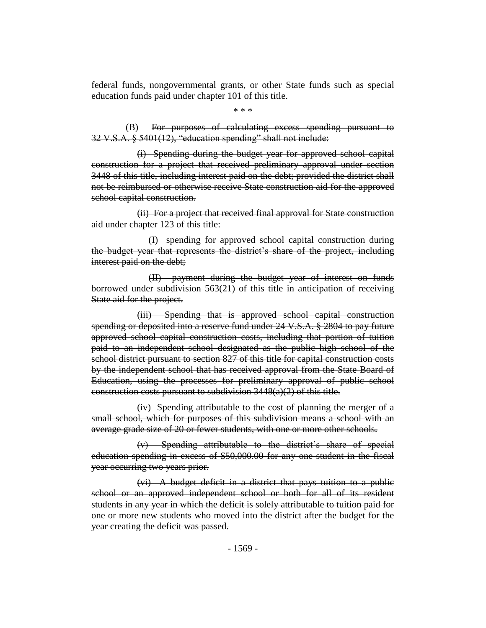federal funds, nongovernmental grants, or other State funds such as special education funds paid under chapter 101 of this title.

\* \* \*

(B) For purposes of calculating excess spending pursuant to 32 V.S.A. § 5401(12), "education spending" shall not include:

(i) Spending during the budget year for approved school capital construction for a project that received preliminary approval under section 3448 of this title, including interest paid on the debt; provided the district shall not be reimbursed or otherwise receive State construction aid for the approved school capital construction.

(ii) For a project that received final approval for State construction aid under chapter 123 of this title:

(I) spending for approved school capital construction during the budget year that represents the district's share of the project, including interest paid on the debt;

(II) payment during the budget year of interest on funds borrowed under subdivision 563(21) of this title in anticipation of receiving State aid for the project.

(iii) Spending that is approved school capital construction spending or deposited into a reserve fund under 24 V.S.A. § 2804 to pay future approved school capital construction costs, including that portion of tuition paid to an independent school designated as the public high school of the school district pursuant to section 827 of this title for capital construction costs by the independent school that has received approval from the State Board of Education, using the processes for preliminary approval of public school construction costs pursuant to subdivision 3448(a)(2) of this title.

(iv) Spending attributable to the cost of planning the merger of a small school, which for purposes of this subdivision means a school with an average grade size of 20 or fewer students, with one or more other schools.

(v) Spending attributable to the district's share of special education spending in excess of \$50,000.00 for any one student in the fiscal year occurring two years prior.

(vi) A budget deficit in a district that pays tuition to a public school or an approved independent school or both for all of its resident students in any year in which the deficit is solely attributable to tuition paid for one or more new students who moved into the district after the budget for the year creating the deficit was passed.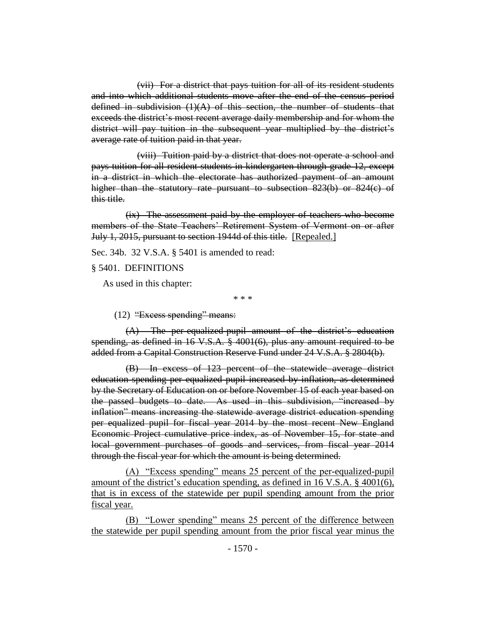(vii) For a district that pays tuition for all of its resident students and into which additional students move after the end of the census period defined in subdivision  $(1)(A)$  of this section, the number of students that exceeds the district's most recent average daily membership and for whom the district will pay tuition in the subsequent year multiplied by the district's average rate of tuition paid in that year.

(viii) Tuition paid by a district that does not operate a school and pays tuition for all resident students in kindergarten through grade 12, except in a district in which the electorate has authorized payment of an amount higher than the statutory rate pursuant to subsection 823(b) or 824(c) of this title.

(ix) The assessment paid by the employer of teachers who become members of the State Teachers' Retirement System of Vermont on or after July 1, 2015, pursuant to section 1944d of this title. [Repealed.]

Sec. 34b. 32 V.S.A. § 5401 is amended to read:

§ 5401. DEFINITIONS

As used in this chapter:

\* \* \*

(12) "Excess spending" means:

(A) The per-equalized-pupil amount of the district's education spending, as defined in 16 V.S.A. § 4001(6), plus any amount required to be added from a Capital Construction Reserve Fund under 24 V.S.A. § 2804(b).

(B) In excess of 123 percent of the statewide average district education spending per equalized pupil increased by inflation, as determined by the Secretary of Education on or before November 15 of each year based on the passed budgets to date. As used in this subdivision, "increased by inflation" means increasing the statewide average district education spending per equalized pupil for fiscal year 2014 by the most recent New England Economic Project cumulative price index, as of November 15, for state and local government purchases of goods and services, from fiscal year 2014 through the fiscal year for which the amount is being determined.

(A) "Excess spending" means 25 percent of the per-equalized-pupil amount of the district's education spending, as defined in 16 V.S.A. § 4001(6), that is in excess of the statewide per pupil spending amount from the prior fiscal year.

(B) "Lower spending" means 25 percent of the difference between the statewide per pupil spending amount from the prior fiscal year minus the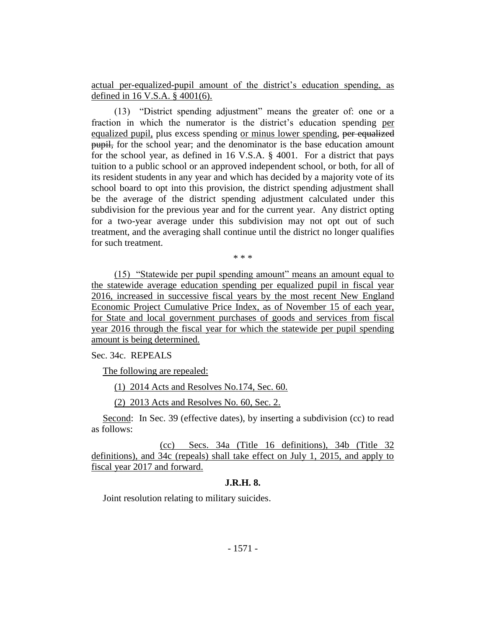actual per-equalized-pupil amount of the district's education spending, as defined in 16 V.S.A. § 4001(6).

(13) "District spending adjustment" means the greater of: one or a fraction in which the numerator is the district's education spending per equalized pupil, plus excess spending or minus lower spending, per equalized pupil, for the school year; and the denominator is the base education amount for the school year, as defined in 16 V.S.A. § 4001. For a district that pays tuition to a public school or an approved independent school, or both, for all of its resident students in any year and which has decided by a majority vote of its school board to opt into this provision, the district spending adjustment shall be the average of the district spending adjustment calculated under this subdivision for the previous year and for the current year. Any district opting for a two-year average under this subdivision may not opt out of such treatment, and the averaging shall continue until the district no longer qualifies for such treatment.

\* \* \*

(15) "Statewide per pupil spending amount" means an amount equal to the statewide average education spending per equalized pupil in fiscal year 2016, increased in successive fiscal years by the most recent New England Economic Project Cumulative Price Index, as of November 15 of each year, for State and local government purchases of goods and services from fiscal year 2016 through the fiscal year for which the statewide per pupil spending amount is being determined.

Sec. 34c. REPEALS

The following are repealed:

(1) 2014 Acts and Resolves No.174, Sec. 60.

(2) 2013 Acts and Resolves No. 60, Sec. 2.

Second: In Sec. 39 (effective dates), by inserting a subdivision (cc) to read as follows:

(cc) Secs. 34a (Title 16 definitions), 34b (Title 32 definitions), and 34c (repeals) shall take effect on July 1, 2015, and apply to fiscal year 2017 and forward.

#### **J.R.H. 8.**

Joint resolution relating to military suicides.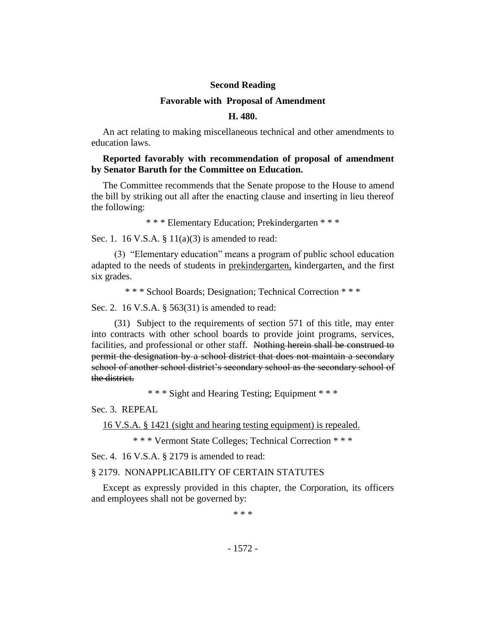#### **Second Reading**

#### **Favorable with Proposal of Amendment**

#### **H. 480.**

An act relating to making miscellaneous technical and other amendments to education laws.

#### **Reported favorably with recommendation of proposal of amendment by Senator Baruth for the Committee on Education.**

The Committee recommends that the Senate propose to the House to amend the bill by striking out all after the enacting clause and inserting in lieu thereof the following:

\* \* \* Elementary Education; Prekindergarten \* \* \*

Sec. 1. 16 V.S.A. § 11(a)(3) is amended to read:

(3) "Elementary education" means a program of public school education adapted to the needs of students in prekindergarten, kindergarten, and the first six grades.

\* \* \* School Boards; Designation; Technical Correction \* \* \*

Sec. 2. 16 V.S.A. § 563(31) is amended to read:

(31) Subject to the requirements of section 571 of this title, may enter into contracts with other school boards to provide joint programs, services, facilities, and professional or other staff. Nothing herein shall be construed to permit the designation by a school district that does not maintain a secondary school of another school district's secondary school as the secondary school of the district.

\* \* \* Sight and Hearing Testing; Equipment \* \* \*

Sec. 3. REPEAL

16 V.S.A. § 1421 (sight and hearing testing equipment) is repealed.

\* \* \* Vermont State Colleges; Technical Correction \* \* \*

Sec. 4. 16 V.S.A. § 2179 is amended to read:

# § 2179. NONAPPLICABILITY OF CERTAIN STATUTES

Except as expressly provided in this chapter, the Corporation, its officers and employees shall not be governed by:

\* \* \*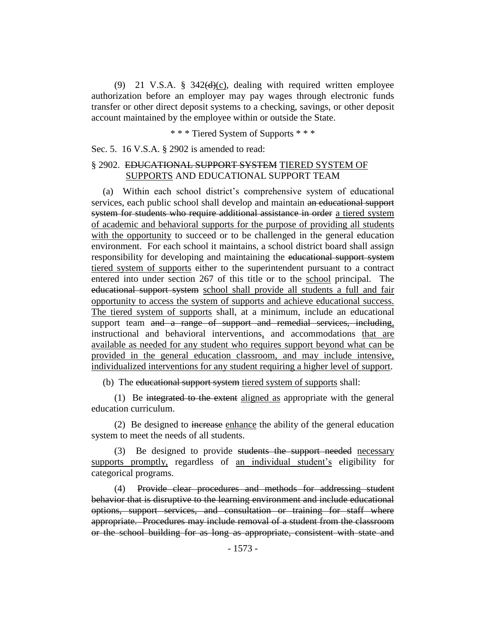(9) 21 V.S.A.  $\frac{8}{9}$  342(d)(c), dealing with required written employee authorization before an employer may pay wages through electronic funds transfer or other direct deposit systems to a checking, savings, or other deposit account maintained by the employee within or outside the State.

\* \* \* Tiered System of Supports \* \* \*

Sec. 5. 16 V.S.A. § 2902 is amended to read:

# § 2902. EDUCATIONAL SUPPORT SYSTEM TIERED SYSTEM OF SUPPORTS AND EDUCATIONAL SUPPORT TEAM

(a) Within each school district's comprehensive system of educational services, each public school shall develop and maintain an educational support system for students who require additional assistance in order a tiered system of academic and behavioral supports for the purpose of providing all students with the opportunity to succeed or to be challenged in the general education environment. For each school it maintains, a school district board shall assign responsibility for developing and maintaining the educational support system tiered system of supports either to the superintendent pursuant to a contract entered into under section 267 of this title or to the school principal. The educational support system school shall provide all students a full and fair opportunity to access the system of supports and achieve educational success. The tiered system of supports shall, at a minimum, include an educational support team and a range of support and remedial services, including, instructional and behavioral interventions, and accommodations that are available as needed for any student who requires support beyond what can be provided in the general education classroom, and may include intensive, individualized interventions for any student requiring a higher level of support.

(b) The educational support system tiered system of supports shall:

(1) Be integrated to the extent aligned as appropriate with the general education curriculum.

(2) Be designed to increase enhance the ability of the general education system to meet the needs of all students.

(3) Be designed to provide students the support needed necessary supports promptly, regardless of an individual student's eligibility for categorical programs.

(4) Provide clear procedures and methods for addressing student behavior that is disruptive to the learning environment and include educational options, support services, and consultation or training for staff where appropriate. Procedures may include removal of a student from the classroom or the school building for as long as appropriate, consistent with state and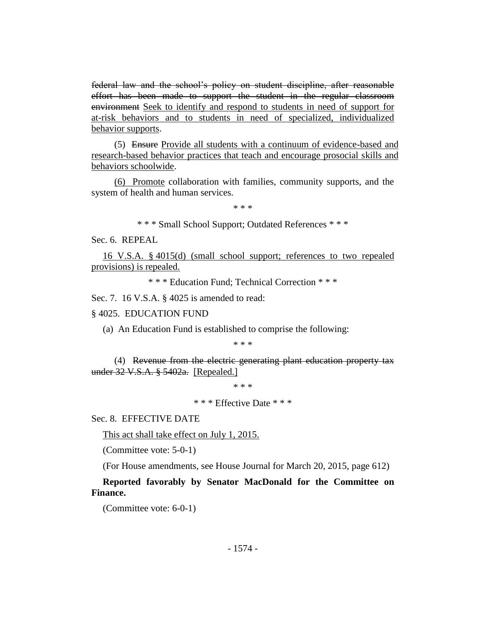federal law and the school's policy on student discipline, after reasonable effort has been made to support the student in the regular classroom environment Seek to identify and respond to students in need of support for at-risk behaviors and to students in need of specialized, individualized behavior supports.

(5) Ensure Provide all students with a continuum of evidence-based and research-based behavior practices that teach and encourage prosocial skills and behaviors schoolwide.

(6) Promote collaboration with families, community supports, and the system of health and human services.

\* \* \*

\* \* \* Small School Support; Outdated References \* \* \*

Sec. 6. REPEAL

16 V.S.A. § 4015(d) (small school support; references to two repealed provisions) is repealed.

\* \* \* Education Fund; Technical Correction \* \* \*

Sec. 7. 16 V.S.A. § 4025 is amended to read:

#### § 4025. EDUCATION FUND

(a) An Education Fund is established to comprise the following:

\* \* \*

(4) Revenue from the electric generating plant education property tax under 32 V.S.A. § 5402a. [Repealed.]

\* \* \*

\* \* \* Effective Date \* \* \*

Sec. 8. EFFECTIVE DATE

This act shall take effect on July 1, 2015.

(Committee vote: 5-0-1)

(For House amendments, see House Journal for March 20, 2015, page 612)

**Reported favorably by Senator MacDonald for the Committee on Finance.**

(Committee vote: 6-0-1)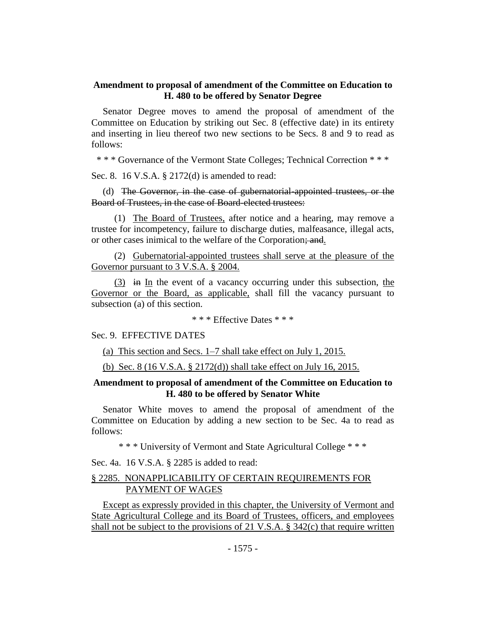# **Amendment to proposal of amendment of the Committee on Education to H. 480 to be offered by Senator Degree**

Senator Degree moves to amend the proposal of amendment of the Committee on Education by striking out Sec. 8 (effective date) in its entirety and inserting in lieu thereof two new sections to be Secs. 8 and 9 to read as follows:

\* \* \* Governance of the Vermont State Colleges; Technical Correction \* \* \*

Sec. 8. 16 V.S.A. § 2172(d) is amended to read:

(d) The Governor, in the case of gubernatorial-appointed trustees, or the Board of Trustees, in the case of Board-elected trustees:

(1) The Board of Trustees, after notice and a hearing, may remove a trustee for incompetency, failure to discharge duties, malfeasance, illegal acts, or other cases inimical to the welfare of the Corporation; and.

(2) Gubernatorial-appointed trustees shall serve at the pleasure of the Governor pursuant to 3 V.S.A. § 2004.

 $(3)$  in In the event of a vacancy occurring under this subsection, the Governor or the Board, as applicable, shall fill the vacancy pursuant to subsection (a) of this section.

\* \* \* Effective Dates \* \* \*

Sec. 9. EFFECTIVE DATES

(a) This section and Secs. 1–7 shall take effect on July 1, 2015.

(b) Sec. 8 (16 V.S.A. § 2172(d)) shall take effect on July 16, 2015.

#### **Amendment to proposal of amendment of the Committee on Education to H. 480 to be offered by Senator White**

Senator White moves to amend the proposal of amendment of the Committee on Education by adding a new section to be Sec. 4a to read as follows:

\* \* \* University of Vermont and State Agricultural College \* \* \*

Sec. 4a. 16 V.S.A. § 2285 is added to read:

## § 2285. NONAPPLICABILITY OF CERTAIN REQUIREMENTS FOR PAYMENT OF WAGES

Except as expressly provided in this chapter, the University of Vermont and State Agricultural College and its Board of Trustees, officers, and employees shall not be subject to the provisions of 21 V.S.A. § 342(c) that require written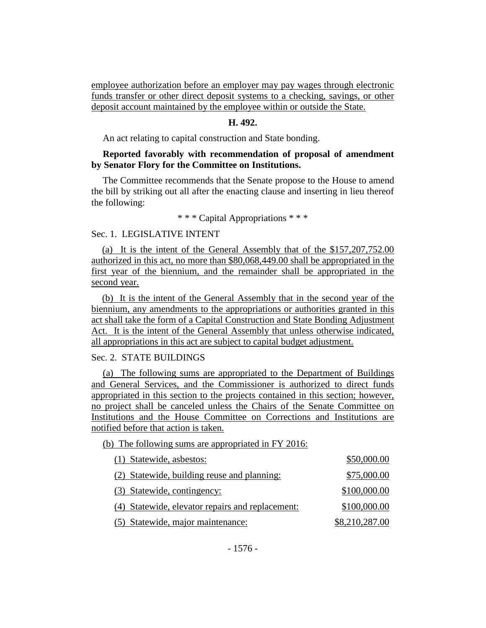employee authorization before an employer may pay wages through electronic funds transfer or other direct deposit systems to a checking, savings, or other deposit account maintained by the employee within or outside the State.

#### **H. 492.**

An act relating to capital construction and State bonding.

# **Reported favorably with recommendation of proposal of amendment by Senator Flory for the Committee on Institutions.**

The Committee recommends that the Senate propose to the House to amend the bill by striking out all after the enacting clause and inserting in lieu thereof the following:

\* \* \* Capital Appropriations \* \* \*

#### Sec. 1. LEGISLATIVE INTENT

(a) It is the intent of the General Assembly that of the \$157,207,752.00 authorized in this act, no more than \$80,068,449.00 shall be appropriated in the first year of the biennium, and the remainder shall be appropriated in the second year.

(b) It is the intent of the General Assembly that in the second year of the biennium, any amendments to the appropriations or authorities granted in this act shall take the form of a Capital Construction and State Bonding Adjustment Act. It is the intent of the General Assembly that unless otherwise indicated, all appropriations in this act are subject to capital budget adjustment.

#### Sec. 2. STATE BUILDINGS

(a) The following sums are appropriated to the Department of Buildings and General Services, and the Commissioner is authorized to direct funds appropriated in this section to the projects contained in this section; however, no project shall be canceled unless the Chairs of the Senate Committee on Institutions and the House Committee on Corrections and Institutions are notified before that action is taken.

(b) The following sums are appropriated in FY 2016:

| (1) Statewide, asbestos:                         | \$50,000.00    |
|--------------------------------------------------|----------------|
| (2) Statewide, building reuse and planning:      | \$75,000.00    |
| (3) Statewide, contingency:                      | \$100,000.00   |
| (4) Statewide, elevator repairs and replacement: | \$100,000.00   |
| (5) Statewide, major maintenance:                | \$8,210,287.00 |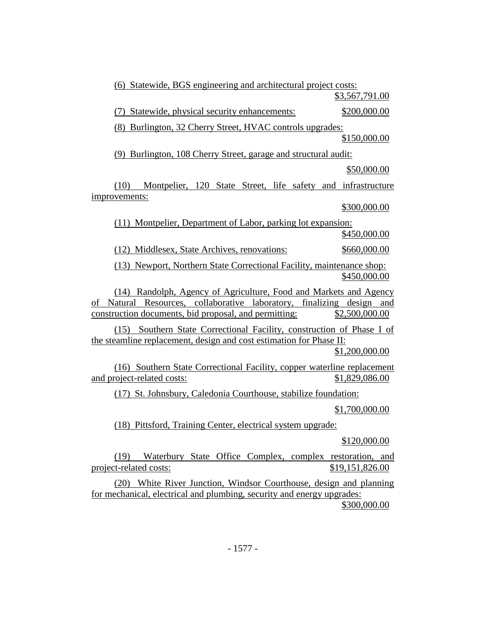(6) Statewide, BGS engineering and architectural project costs: \$3,567,791.00 (7) Statewide, physical security enhancements: \$200,000.00 (8) Burlington, 32 Cherry Street, HVAC controls upgrades: \$150,000.00 (9) Burlington, 108 Cherry Street, garage and structural audit: \$50,000.00 (10) Montpelier, 120 State Street, life safety and infrastructure improvements: \$300,000.00 (11) Montpelier, Department of Labor, parking lot expansion: \$450,000.00 (12) Middlesex, State Archives, renovations: \$660,000.00 (13) Newport, Northern State Correctional Facility, maintenance shop: \$450,000.00 (14) Randolph, Agency of Agriculture, Food and Markets and Agency of Natural Resources, collaborative laboratory, finalizing design and construction documents, bid proposal, and permitting: \$2,500,000.00 (15) Southern State Correctional Facility, construction of Phase I of the steamline replacement, design and cost estimation for Phase II: \$1,200,000.00 (16) Southern State Correctional Facility, copper waterline replacement and project-related <u>costs:</u>  $$1,829,086.00$ (17) St. Johnsbury, Caledonia Courthouse, stabilize foundation: \$1,700,000.00 (18) Pittsford, Training Center, electrical system upgrade: \$120,000.00 (19) Waterbury State Office Complex, complex restoration, and project-related costs:  $$19,151,826.00$ 

(20) White River Junction, Windsor Courthouse, design and planning for mechanical, electrical and plumbing, security and energy upgrades: \$300,000.00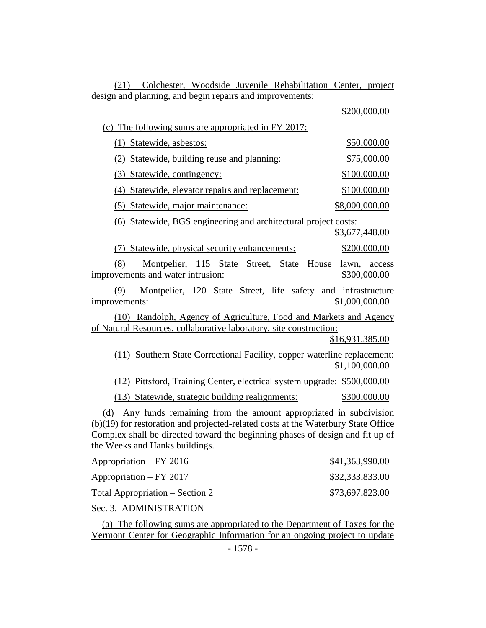| Colchester, Woodside Juvenile Rehabilitation Center, project<br>(21)                                                                                                                                                                                                           |                 |  |
|--------------------------------------------------------------------------------------------------------------------------------------------------------------------------------------------------------------------------------------------------------------------------------|-----------------|--|
| design and planning, and begin repairs and improvements:                                                                                                                                                                                                                       |                 |  |
|                                                                                                                                                                                                                                                                                | \$200,000.00    |  |
| (c) The following sums are appropriated in FY 2017:                                                                                                                                                                                                                            |                 |  |
| (1) Statewide, asbestos:                                                                                                                                                                                                                                                       | \$50,000.00     |  |
| (2) Statewide, building reuse and planning:                                                                                                                                                                                                                                    | \$75,000.00     |  |
| (3) Statewide, contingency:                                                                                                                                                                                                                                                    | \$100,000.00    |  |
| (4) Statewide, elevator repairs and replacement:                                                                                                                                                                                                                               | \$100,000.00    |  |
| (5) Statewide, major maintenance:                                                                                                                                                                                                                                              | \$8,000,000.00  |  |
| (6) Statewide, BGS engineering and architectural project costs:                                                                                                                                                                                                                |                 |  |
|                                                                                                                                                                                                                                                                                | \$3,677,448.00  |  |
| Statewide, physical security enhancements:<br>(7)                                                                                                                                                                                                                              | \$200,000.00    |  |
| Montpelier, 115 State Street, State House lawn, access<br>(8)<br>improvements and water intrusion:                                                                                                                                                                             | \$300,000.00    |  |
| Montpelier, 120 State Street, life safety and infrastructure<br>(9)<br>improvements:                                                                                                                                                                                           | \$1,000,000.00  |  |
| (10) Randolph, Agency of Agriculture, Food and Markets and Agency<br>of Natural Resources, collaborative laboratory, site construction:                                                                                                                                        | \$16,931,385.00 |  |
| (11) Southern State Correctional Facility, copper waterline replacement:                                                                                                                                                                                                       | \$1,100,000.00  |  |
| (12) Pittsford, Training Center, electrical system upgrade: \$500,000.00                                                                                                                                                                                                       |                 |  |
| (13) Statewide, strategic building realignments:                                                                                                                                                                                                                               | \$300,000.00    |  |
| Any funds remaining from the amount appropriated in subdivision<br>(d)<br>(b)(19) for restoration and projected-related costs at the Waterbury State Office<br>Complex shall be directed toward the beginning phases of design and fit up of<br>the Weeks and Hanks buildings. |                 |  |
| <u> Appropriation – FY 2016</u>                                                                                                                                                                                                                                                | \$41,363,990.00 |  |
| Appropriation - FY 2017                                                                                                                                                                                                                                                        | \$32,333,833.00 |  |
| <u> Total Appropriation – Section 2</u>                                                                                                                                                                                                                                        | \$73,697,823.00 |  |
| Sec. 3. ADMINISTRATION                                                                                                                                                                                                                                                         |                 |  |

(a) The following sums are appropriated to the Department of Taxes for the Vermont Center for Geographic Information for an ongoing project to update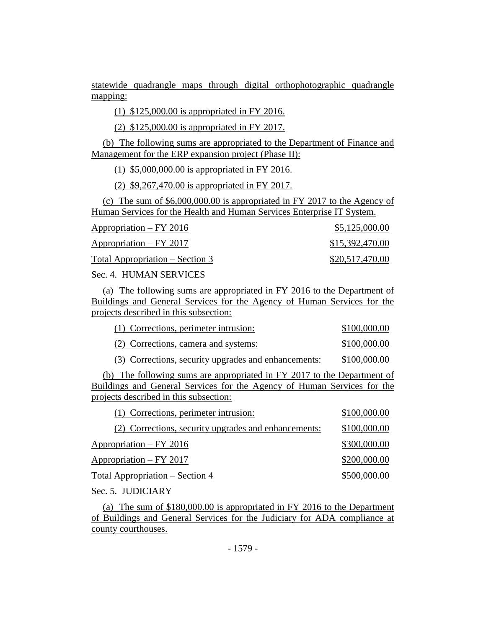statewide quadrangle maps through digital orthophotographic quadrangle mapping:

(1) \$125,000.00 is appropriated in FY 2016.

(2) \$125,000.00 is appropriated in FY 2017.

(b) The following sums are appropriated to the Department of Finance and Management for the ERP expansion project (Phase II):

(1) \$5,000,000.00 is appropriated in FY 2016.

(2) \$9,267,470.00 is appropriated in FY 2017.

(c) The sum of \$6,000,000.00 is appropriated in FY 2017 to the Agency of Human Services for the Health and Human Services Enterprise IT System.

| $Approxation - FY 2016$                 | \$5,125,000.00  |
|-----------------------------------------|-----------------|
| $Approxination - FY 2017$               | \$15,392,470.00 |
| <u> Total Appropriation – Section 3</u> | \$20,517,470.00 |

Sec. 4. HUMAN SERVICES

(a) The following sums are appropriated in FY 2016 to the Department of Buildings and General Services for the Agency of Human Services for the projects described in this subsection:

| (1) Corrections, perimeter intrusion: | \$100,000.00 |
|---------------------------------------|--------------|
| (2) Corrections, camera and systems:  | \$100,000.00 |

(3) Corrections, security upgrades and enhancements: \$100,000.00

(b) The following sums are appropriated in FY 2017 to the Department of Buildings and General Services for the Agency of Human Services for the projects described in this subsection:

| \$100,000.00 |
|--------------|
| \$100,000.00 |
| \$300,000.00 |
| \$200,000.00 |
| \$500,000.00 |
|              |

Sec. 5. JUDICIARY

(a) The sum of \$180,000.00 is appropriated in FY 2016 to the Department of Buildings and General Services for the Judiciary for ADA compliance at county courthouses.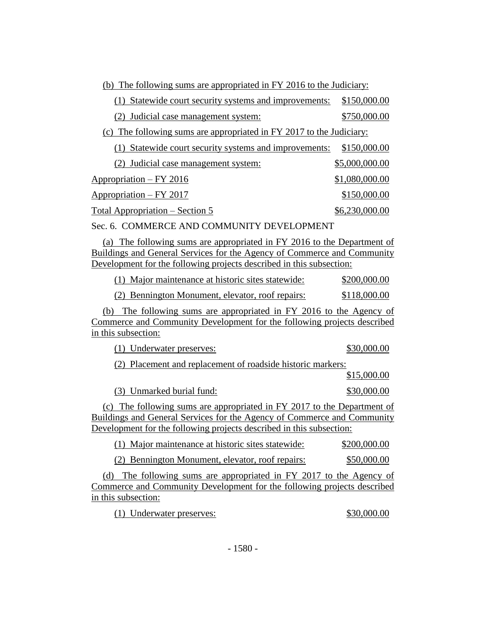(b) The following sums are appropriated in FY 2016 to the Judiciary:

| (1) Statewide court security systems and improvements:               | \$150,000.00   |
|----------------------------------------------------------------------|----------------|
| (2) Judicial case management system:                                 | \$750,000.00   |
| (c) The following sums are appropriated in FY 2017 to the Judiciary: |                |
| Statewide court security systems and improvements:                   | \$150,000.00   |
| (2) Judicial case management system:                                 | \$5,000,000.00 |
| $Approxination - FY 2016$                                            | \$1,080,000.00 |
| $Approxination - FY 2017$                                            | \$150,000.00   |
| Total Appropriation – Section 5                                      | \$6,230,000.00 |

Sec. 6. COMMERCE AND COMMUNITY DEVELOPMENT

(a) The following sums are appropriated in FY 2016 to the Department of Buildings and General Services for the Agency of Commerce and Community Development for the following projects described in this subsection:

| (1) Major maintenance at historic sites statewide: | \$200,000.00 |
|----------------------------------------------------|--------------|
|                                                    |              |

(2) Bennington Monument, elevator, roof repairs: \$118,000.00

(b) The following sums are appropriated in FY 2016 to the Agency of Commerce and Community Development for the following projects described in this subsection:

| (1) Underwater preserves:                                                                                                                      | \$30,000.00  |  |  |
|------------------------------------------------------------------------------------------------------------------------------------------------|--------------|--|--|
| (2) Placement and replacement of roadside historic markers:                                                                                    |              |  |  |
|                                                                                                                                                | \$15,000.00  |  |  |
| (3) Unmarked burial fund:                                                                                                                      | \$30,000.00  |  |  |
| The following sums are appropriated in FY 2017 to the Department of<br>Buildings and General Services for the Agency of Commerce and Community |              |  |  |
| Development for the following projects described in this subsection:                                                                           |              |  |  |
| (1) Major maintenance at historic sites statewide:                                                                                             | \$200,000.00 |  |  |
| (2) Bennington Monument, elevator, roof repairs:                                                                                               | \$50,000.00  |  |  |
|                                                                                                                                                |              |  |  |

(d) The following sums are appropriated in FY 2017 to the Agency of Commerce and Community Development for the following projects described in this subsection:

(1) Underwater preserves: \$30,000.00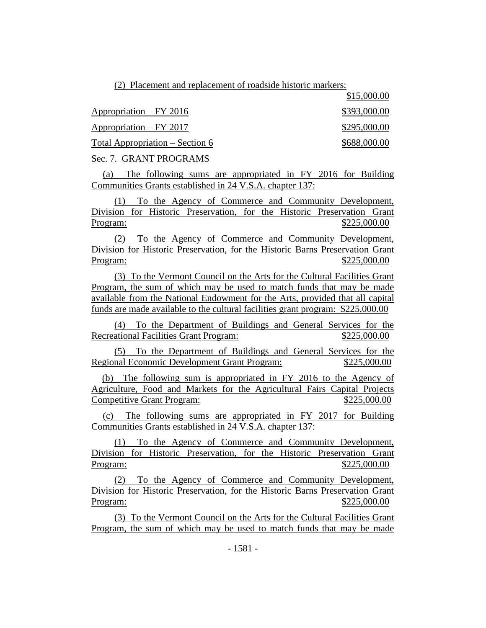(2) Placement and replacement of roadside historic markers:

|                                 | 41.0000.00   |
|---------------------------------|--------------|
| $Approxination - FY 2016$       | \$393,000.00 |
| Appropriation – FY 2017         | \$295,000.00 |
| Total Appropriation – Section 6 | \$688,000.00 |
|                                 |              |

\$15,000.00

Sec. 7. GRANT PROGRAMS

(a) The following sums are appropriated in FY 2016 for Building Communities Grants established in 24 V.S.A. chapter 137:

(1) To the Agency of Commerce and Community Development, Division for Historic Preservation, for the Historic Preservation Grant Program: \$225,000.00

(2) To the Agency of Commerce and Community Development, Division for Historic Preservation, for the Historic Barns Preservation Grant Program: \$225,000.00

(3) To the Vermont Council on the Arts for the Cultural Facilities Grant Program, the sum of which may be used to match funds that may be made available from the National Endowment for the Arts, provided that all capital funds are made available to the cultural facilities grant program: \$225,000.00

(4) To the Department of Buildings and General Services for the Recreational Facilities Grant Program:  $$225,000.00$ 

(5) To the Department of Buildings and General Services for the Regional Economic Development Grant Program: \$225,000.00

(b) The following sum is appropriated in FY 2016 to the Agency of Agriculture, Food and Markets for the Agricultural Fairs Capital Projects Competitive Grant Program: \$225,000.00

(c) The following sums are appropriated in FY 2017 for Building Communities Grants established in 24 V.S.A. chapter 137:

(1) To the Agency of Commerce and Community Development, Division for Historic Preservation, for the Historic Preservation Grant Program: \$225,000.00

(2) To the Agency of Commerce and Community Development, Division for Historic Preservation, for the Historic Barns Preservation Grant Program: \$225,000.00

(3) To the Vermont Council on the Arts for the Cultural Facilities Grant Program, the sum of which may be used to match funds that may be made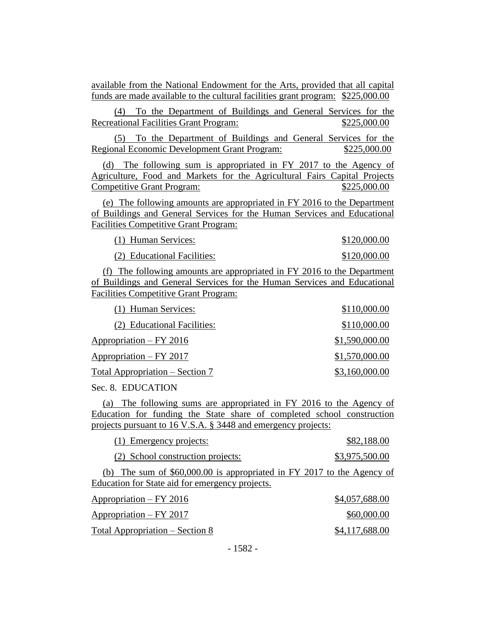available from the National Endowment for the Arts, provided that all capital funds are made available to the cultural facilities grant program: \$225,000.00

(4) To the Department of Buildings and General Services for the Recreational Facilities Grant Program:  $$225,000.00$ 

(5) To the Department of Buildings and General Services for the Regional Economic Development Grant Program: \$225,000.00

(d) The following sum is appropriated in FY 2017 to the Agency of Agriculture, Food and Markets for the Agricultural Fairs Capital Projects Competitive Grant Program:  $$225,000.00$ 

(e) The following amounts are appropriated in FY 2016 to the Department of Buildings and General Services for the Human Services and Educational Facilities Competitive Grant Program:

| (1) Human Services:         | \$120,000.00 |
|-----------------------------|--------------|
| (2) Educational Facilities: | \$120,000.00 |

(f) The following amounts are appropriated in FY 2016 to the Department of Buildings and General Services for the Human Services and Educational Facilities Competitive Grant Program:

| (1) Human Services:                           | \$110,000.00   |
|-----------------------------------------------|----------------|
| (2) Educational Facilities:                   | \$110,000.00   |
| Appropriation – FY 2016                       | \$1,590,000.00 |
| Appropriation – FY 2017                       | \$1,570,000.00 |
| <u><b>Total Appropriation – Section 7</b></u> | \$3,160,000.00 |

Sec. 8. EDUCATION

(a) The following sums are appropriated in FY 2016 to the Agency of Education for funding the State share of completed school construction projects pursuant to 16 V.S.A. § 3448 and emergency projects:

| (1) Emergency projects:                                                                                                    | \$82,188.00    |
|----------------------------------------------------------------------------------------------------------------------------|----------------|
| (2) School construction projects:                                                                                          | \$3,975,500.00 |
| (b) The sum of $$60,000.00$ is appropriated in FY 2017 to the Agency of<br>Education for State aid for emergency projects. |                |
| Appropriation – FY 2016                                                                                                    | \$4,057,688.00 |
| Appropriation – FY 2017                                                                                                    | \$60,000.00    |

Total Appropriation – Section 8  $$4,117,688.00$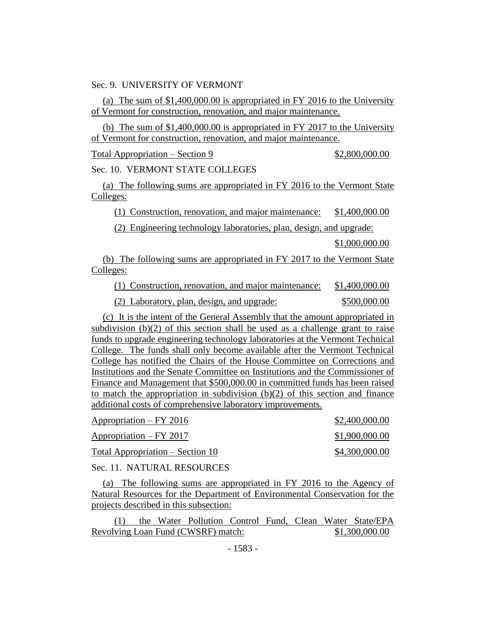Sec. 9. UNIVERSITY OF VERMONT

(a) The sum of \$1,400,000.00 is appropriated in FY 2016 to the University of Vermont for construction, renovation, and major maintenance.

(b) The sum of \$1,400,000.00 is appropriated in FY 2017 to the University of Vermont for construction, renovation, and major maintenance.

 $Total Approximation - Section 9$  \$2,800,000.00

Sec. 10. VERMONT STATE COLLEGES

(a) The following sums are appropriated in FY 2016 to the Vermont State Colleges:

(1) Construction, renovation, and major maintenance: \$1,400,000.00

(2) Engineering technology laboratories, plan, design, and upgrade:

\$1,000,000.00

(b) The following sums are appropriated in FY 2017 to the Vermont State Colleges:

(1) Construction, renovation, and major maintenance: \$1,400,000.00

(2) Laboratory, plan, design, and upgrade: \$500,000.00

(c) It is the intent of the General Assembly that the amount appropriated in subdivision (b)(2) of this section shall be used as a challenge grant to raise funds to upgrade engineering technology laboratories at the Vermont Technical College. The funds shall only become available after the Vermont Technical College has notified the Chairs of the House Committee on Corrections and Institutions and the Senate Committee on Institutions and the Commissioner of Finance and Management that \$500,000.00 in committed funds has been raised to match the appropriation in subdivision  $(b)(2)$  of this section and finance additional costs of comprehensive laboratory improvements.

| $Approxation - FY 2016$          | \$2,400,000.00 |
|----------------------------------|----------------|
| Appropriation - FY 2017          | \$1,900,000.00 |
| Total Appropriation – Section 10 | \$4,300,000.00 |

Sec. 11. NATURAL RESOURCES

(a) The following sums are appropriated in FY 2016 to the Agency of Natural Resources for the Department of Environmental Conservation for the projects described in this subsection:

(1) the Water Pollution Control Fund, Clean Water State/EPA Revolving Loan Fund (CWSRF) match: \$1,300,000.00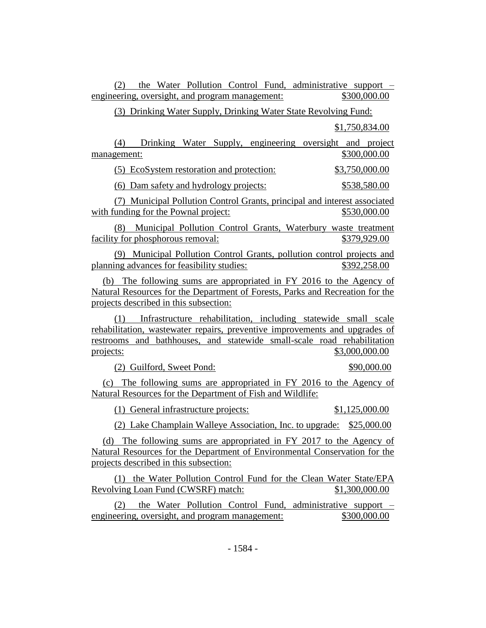(2) the Water Pollution Control Fund, administrative support – engineering, oversight, and program management:  $$300,000.00$ 

(3) Drinking Water Supply, Drinking Water State Revolving Fund:

\$1,750,834.00

(4) Drinking Water Supply, engineering oversight and project management: \$300,000.00

(5) EcoSystem restoration and protection: \$3,750,000.00

(6) Dam safety and hydrology projects: \$538,580.00

(7) Municipal Pollution Control Grants, principal and interest associated with funding for the Pownal project: \$530,000.00

(8) Municipal Pollution Control Grants, Waterbury waste treatment facility for phosphorous removal:  $$379,929.00$ 

(9) Municipal Pollution Control Grants, pollution control projects and planning advances for feasibility studies: \$392,258.00

(b) The following sums are appropriated in FY 2016 to the Agency of Natural Resources for the Department of Forests, Parks and Recreation for the projects described in this subsection:

(1) Infrastructure rehabilitation, including statewide small scale rehabilitation, wastewater repairs, preventive improvements and upgrades of restrooms and bathhouses, and statewide small-scale road rehabilitation projects: \$3,000,000.00

(2) Guilford, Sweet Pond: \$90,000.00

(c) The following sums are appropriated in FY 2016 to the Agency of Natural Resources for the Department of Fish and Wildlife:

(1) General infrastructure projects: \$1,125,000.00

(2) Lake Champlain Walleye Association, Inc. to upgrade: \$25,000.00

(d) The following sums are appropriated in FY 2017 to the Agency of Natural Resources for the Department of Environmental Conservation for the projects described in this subsection:

(1) the Water Pollution Control Fund for the Clean Water State/EPA Revolving Loan Fund (CWSRF) match: \$1,300,000.00

(2) the Water Pollution Control Fund, administrative support – engineering, oversight, and program management:  $$300,000.00$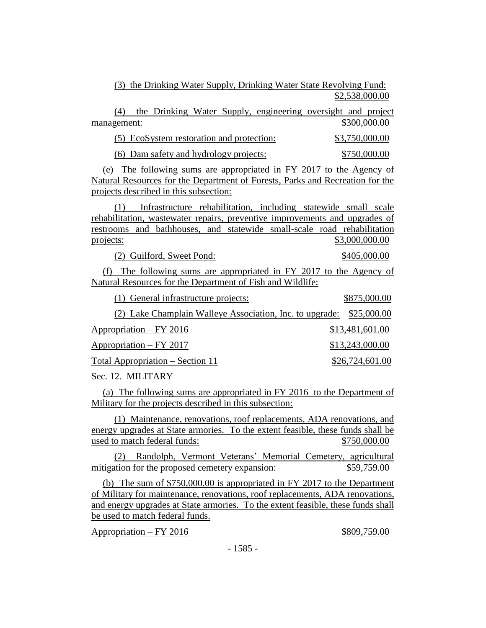(3) the Drinking Water Supply, Drinking Water State Revolving Fund: \$2,538,000.00

| the Drinking Water Supply, engineering oversight and project<br>(4) |                |
|---------------------------------------------------------------------|----------------|
| management:                                                         | \$300,000.00   |
| (5) EcoSystem restoration and protection:                           | \$3,750,000.00 |
| <u>(6) Dam safety and hydrology projects:</u>                       | \$750,000.00   |

(e) The following sums are appropriated in FY 2017 to the Agency of Natural Resources for the Department of Forests, Parks and Recreation for the projects described in this subsection:

(1) Infrastructure rehabilitation, including statewide small scale rehabilitation, wastewater repairs, preventive improvements and upgrades of restrooms and bathhouses, and statewide small-scale road rehabilitation projects: \$3,000,000.00

(2) Guilford, Sweet Pond: \$405,000.00

(f) The following sums are appropriated in FY 2017 to the Agency of Natural Resources for the Department of Fish and Wildlife:

| (1) General infrastructure projects:                                 |                 | \$875,000.00    |
|----------------------------------------------------------------------|-----------------|-----------------|
| (2) Lake Champlain Walleye Association, Inc. to upgrade: \$25,000.00 |                 |                 |
| Appropriation – FY 2016                                              | \$13,481,601.00 |                 |
| Appropriation – FY 2017                                              | \$13,243,000.00 |                 |
| Total Appropriation – Section 11                                     |                 | \$26,724,601.00 |
|                                                                      |                 |                 |

Sec. 12. MILITARY

(a) The following sums are appropriated in FY 2016 to the Department of Military for the projects described in this subsection:

(1) Maintenance, renovations, roof replacements, ADA renovations, and energy upgrades at State armories. To the extent feasible, these funds shall be used to match federal funds:  $$750,000.00$ 

(2) Randolph, Vermont Veterans' Memorial Cemetery, agricultural mitigation for the proposed cemetery expansion:  $$59,759.00$ 

(b) The sum of \$750,000.00 is appropriated in FY 2017 to the Department of Military for maintenance, renovations, roof replacements, ADA renovations, and energy upgrades at State armories. To the extent feasible, these funds shall be used to match federal funds.

Appropriation – FY 2016 \$809,759.00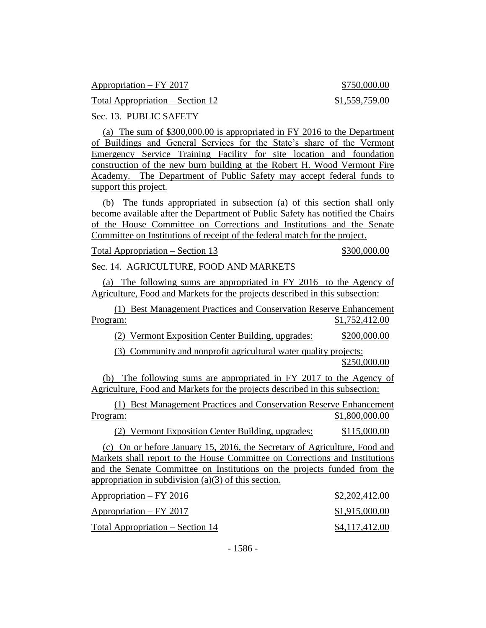| $Approxation - FY 2017$          | \$750,000.00   |
|----------------------------------|----------------|
| Total Appropriation – Section 12 | \$1,559,759.00 |

Sec. 13. PUBLIC SAFETY

(a) The sum of \$300,000.00 is appropriated in FY 2016 to the Department of Buildings and General Services for the State's share of the Vermont Emergency Service Training Facility for site location and foundation construction of the new burn building at the Robert H. Wood Vermont Fire Academy. The Department of Public Safety may accept federal funds to support this project.

(b) The funds appropriated in subsection (a) of this section shall only become available after the Department of Public Safety has notified the Chairs of the House Committee on Corrections and Institutions and the Senate Committee on Institutions of receipt of the federal match for the project.

Total Appropriation – Section 13  $$300,000.00$ 

Sec. 14. AGRICULTURE, FOOD AND MARKETS

(a) The following sums are appropriated in FY 2016 to the Agency of Agriculture, Food and Markets for the projects described in this subsection:

(1) Best Management Practices and Conservation Reserve Enhancement Program: \$1,752,412.00

(2) Vermont Exposition Center Building, upgrades: \$200,000.00

(3) Community and nonprofit agricultural water quality projects: \$250,000.00

(b) The following sums are appropriated in FY 2017 to the Agency of Agriculture, Food and Markets for the projects described in this subsection:

(1) Best Management Practices and Conservation Reserve Enhancement Program: \$1,800,000.00

(2) Vermont Exposition Center Building, upgrades: \$115,000.00

(c) On or before January 15, 2016, the Secretary of Agriculture, Food and Markets shall report to the House Committee on Corrections and Institutions and the Senate Committee on Institutions on the projects funded from the appropriation in subdivision (a)(3) of this section.

| $Approxation - FY 2016$          | \$2,202,412.00 |
|----------------------------------|----------------|
| $Approxation - FY 2017$          | \$1,915,000.00 |
| Total Appropriation – Section 14 | \$4,117,412.00 |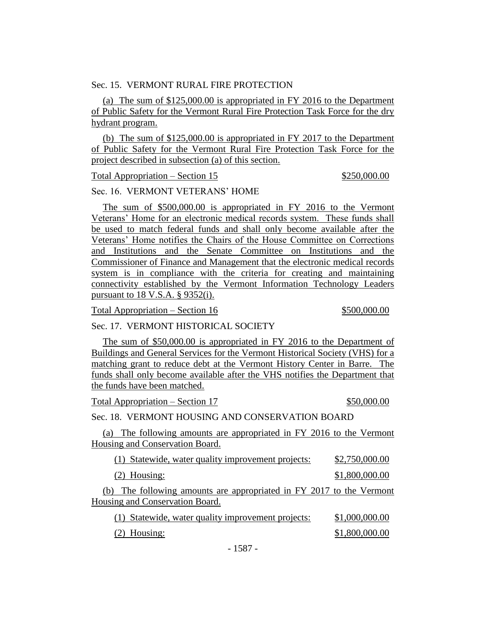#### Sec. 15. VERMONT RURAL FIRE PROTECTION

(a) The sum of \$125,000.00 is appropriated in FY 2016 to the Department of Public Safety for the Vermont Rural Fire Protection Task Force for the dry hydrant program.

(b) The sum of \$125,000.00 is appropriated in FY 2017 to the Department of Public Safety for the Vermont Rural Fire Protection Task Force for the project described in subsection (a) of this section.

Total Appropriation – Section 15 \$250,000.00

Sec. 16. VERMONT VETERANS' HOME

The sum of \$500,000.00 is appropriated in FY 2016 to the Vermont Veterans' Home for an electronic medical records system. These funds shall be used to match federal funds and shall only become available after the Veterans' Home notifies the Chairs of the House Committee on Corrections and Institutions and the Senate Committee on Institutions and the Commissioner of Finance and Management that the electronic medical records system is in compliance with the criteria for creating and maintaining connectivity established by the Vermont Information Technology Leaders pursuant to 18 V.S.A. § 9352(i).

Total Appropriation – Section 16  $$500,000.00$ 

#### Sec. 17. VERMONT HISTORICAL SOCIETY

The sum of \$50,000.00 is appropriated in FY 2016 to the Department of Buildings and General Services for the Vermont Historical Society (VHS) for a matching grant to reduce debt at the Vermont History Center in Barre. The funds shall only become available after the VHS notifies the Department that the funds have been matched.

Total Appropriation – Section 17  $$50,000.00$ 

Sec. 18. VERMONT HOUSING AND CONSERVATION BOARD

(a) The following amounts are appropriated in FY 2016 to the Vermont Housing and Conservation Board.

| (1) Statewide, water quality improvement projects: | \$2,750,000.00 |
|----------------------------------------------------|----------------|
|----------------------------------------------------|----------------|

(2) Housing: \$1,800,000.00

(b) The following amounts are appropriated in FY 2017 to the Vermont

Housing and Conservation Board.

| (1) Statewide, water quality improvement projects: | \$1,000,000.00 |
|----------------------------------------------------|----------------|
| $(2)$ Housing:                                     | \$1,800,000.00 |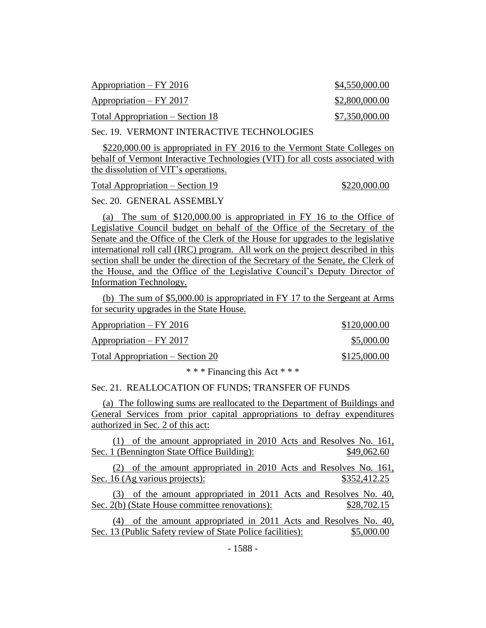| $Approxation - FY 2016$          | \$4,550,000.00 |
|----------------------------------|----------------|
| $Approxation - FY 2017$          | \$2,800,000.00 |
| Total Appropriation – Section 18 | \$7,350,000.00 |

Sec. 19. VERMONT INTERACTIVE TECHNOLOGIES

\$220,000.00 is appropriated in FY 2016 to the Vermont State Colleges on behalf of Vermont Interactive Technologies (VIT) for all costs associated with the dissolution of VIT's operations.

Total Appropriation – Section 19  $$220,000.00$ 

Sec. 20. GENERAL ASSEMBLY

(a) The sum of \$120,000.00 is appropriated in FY 16 to the Office of Legislative Council budget on behalf of the Office of the Secretary of the Senate and the Office of the Clerk of the House for upgrades to the legislative international roll call (IRC) program. All work on the project described in this section shall be under the direction of the Secretary of the Senate, the Clerk of the House, and the Office of the Legislative Council's Deputy Director of Information Technology.

(b) The sum of \$5,000.00 is appropriated in FY 17 to the Sergeant at Arms for security upgrades in the State House.

| Appropriation – FY 2016          | \$120,000.00 |
|----------------------------------|--------------|
| $Appropriation - FY 2017$        | \$5,000.00   |
| Total Appropriation – Section 20 | \$125,000.00 |

\* \* \* Financing this Act \* \* \*

#### Sec. 21. REALLOCATION OF FUNDS; TRANSFER OF FUNDS

(a) The following sums are reallocated to the Department of Buildings and General Services from prior capital appropriations to defray expenditures authorized in Sec. 2 of this act:

(1) of the amount appropriated in 2010 Acts and Resolves No. 161, Sec. 1 (Bennington State Office Building): \$49,062.60

(2) of the amount appropriated in 2010 Acts and Resolves No. 161, Sec. 16 (Ag various projects): \$352,412.25

(3) of the amount appropriated in 2011 Acts and Resolves No. 40, Sec. 2(b) (State House committee renovations):  $$28,702.15$ 

(4) of the amount appropriated in 2011 Acts and Resolves No. 40, Sec. 13 (Public Safety review of State Police facilities): \$5,000.00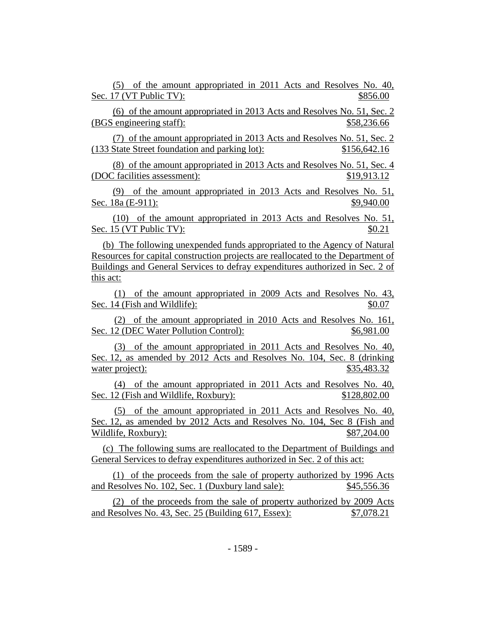(5) of the amount appropriated in 2011 Acts and Resolves No. 40, Sec. 17 (VT Public TV):  $$856.00$ 

(6) of the amount appropriated in 2013 Acts and Resolves No. 51, Sec. 2 (BGS engineering staff):  $$58,236.66$ 

(7) of the amount appropriated in 2013 Acts and Resolves No. 51, Sec. 2 (133 State Street foundation and parking lot): \$156,642.16

(8) of the amount appropriated in 2013 Acts and Resolves No. 51, Sec. 4 (DOC facilities assessment): \$19,913.12

(9) of the amount appropriated in 2013 Acts and Resolves No. 51, Sec. 18a (E-911): \$9,940.00

(10) of the amount appropriated in 2013 Acts and Resolves No. 51, Sec. 15 (VT Public TV):  $\text{80.21}$ 

(b) The following unexpended funds appropriated to the Agency of Natural Resources for capital construction projects are reallocated to the Department of Buildings and General Services to defray expenditures authorized in Sec. 2 of this act:

(1) of the amount appropriated in 2009 Acts and Resolves No. 43, Sec. 14 (Fish and Wildlife):  $\frac{1}{2}$  \$0.07

(2) of the amount appropriated in 2010 Acts and Resolves No. 161, Sec. 12 (DEC Water Pollution Control):  $$6,981.00$ 

(3) of the amount appropriated in 2011 Acts and Resolves No. 40, Sec. 12, as amended by 2012 Acts and Resolves No. 104, Sec. 8 (drinking water project): \$35,483.32

(4) of the amount appropriated in 2011 Acts and Resolves No. 40, Sec. 12 (Fish and Wildlife, Roxbury): \$128,802.00

(5) of the amount appropriated in 2011 Acts and Resolves No. 40, Sec. 12, as amended by 2012 Acts and Resolves No. 104, Sec 8 (Fish and Wildlife, Roxbury):  $$87,204.00$ 

(c) The following sums are reallocated to the Department of Buildings and General Services to defray expenditures authorized in Sec. 2 of this act:

(1) of the proceeds from the sale of property authorized by 1996 Acts and Resolves No. 102, Sec. 1 (Duxbury land sale): \$45,556.36

(2) of the proceeds from the sale of property authorized by 2009 Acts and Resolves No. 43, Sec. 25 (Building 617, Essex): \$7,078.21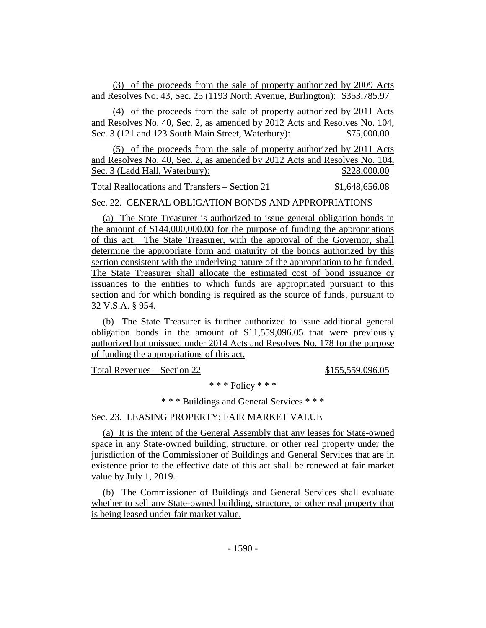(3) of the proceeds from the sale of property authorized by 2009 Acts and Resolves No. 43, Sec. 25 (1193 North Avenue, Burlington): \$353,785.97

(4) of the proceeds from the sale of property authorized by 2011 Acts and Resolves No. 40, Sec. 2, as amended by 2012 Acts and Resolves No. 104, Sec. 3 (121 and 123 South Main Street, Waterbury): \$75,000.00

(5) of the proceeds from the sale of property authorized by 2011 Acts and Resolves No. 40, Sec. 2, as amended by 2012 Acts and Resolves No. 104, Sec. 3 (Ladd Hall, Waterbury):  $$228,000.00$ 

Total Reallocations and Transfers – Section 21 \$1,648,656.08

Sec. 22. GENERAL OBLIGATION BONDS AND APPROPRIATIONS

(a) The State Treasurer is authorized to issue general obligation bonds in the amount of \$144,000,000.00 for the purpose of funding the appropriations of this act. The State Treasurer, with the approval of the Governor, shall determine the appropriate form and maturity of the bonds authorized by this section consistent with the underlying nature of the appropriation to be funded. The State Treasurer shall allocate the estimated cost of bond issuance or issuances to the entities to which funds are appropriated pursuant to this section and for which bonding is required as the source of funds, pursuant to 32 V.S.A. § 954.

(b) The State Treasurer is further authorized to issue additional general obligation bonds in the amount of \$11,559,096.05 that were previously authorized but unissued under 2014 Acts and Resolves No. 178 for the purpose of funding the appropriations of this act.

Total Revenues – Section 22 \$155,559,096.05

\* \* \* Policy \* \* \*

\* \* \* Buildings and General Services \* \* \*

Sec. 23. LEASING PROPERTY; FAIR MARKET VALUE

(a) It is the intent of the General Assembly that any leases for State-owned space in any State-owned building, structure, or other real property under the jurisdiction of the Commissioner of Buildings and General Services that are in existence prior to the effective date of this act shall be renewed at fair market value by July 1, 2019.

(b) The Commissioner of Buildings and General Services shall evaluate whether to sell any State-owned building, structure, or other real property that is being leased under fair market value.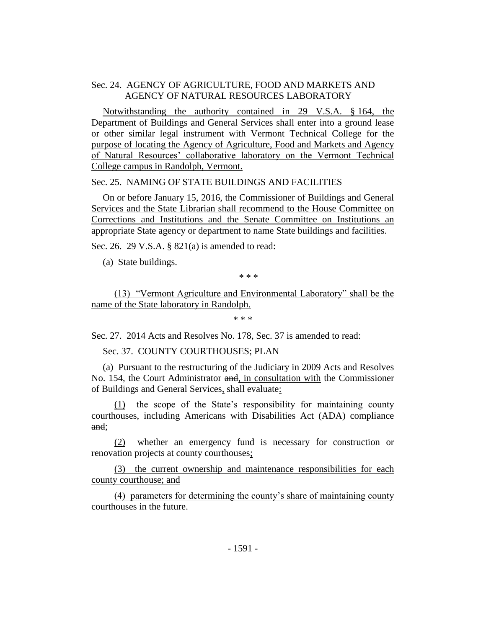# Sec. 24. AGENCY OF AGRICULTURE, FOOD AND MARKETS AND AGENCY OF NATURAL RESOURCES LABORATORY

Notwithstanding the authority contained in 29 V.S.A. § 164, the Department of Buildings and General Services shall enter into a ground lease or other similar legal instrument with Vermont Technical College for the purpose of locating the Agency of Agriculture, Food and Markets and Agency of Natural Resources' collaborative laboratory on the Vermont Technical College campus in Randolph, Vermont.

Sec. 25. NAMING OF STATE BUILDINGS AND FACILITIES

On or before January 15, 2016, the Commissioner of Buildings and General Services and the State Librarian shall recommend to the House Committee on Corrections and Institutions and the Senate Committee on Institutions an appropriate State agency or department to name State buildings and facilities.

Sec. 26. 29 V.S.A. § 821(a) is amended to read:

(a) State buildings.

\* \* \*

(13) "Vermont Agriculture and Environmental Laboratory" shall be the name of the State laboratory in Randolph.

\* \* \*

Sec. 27. 2014 Acts and Resolves No. 178, Sec. 37 is amended to read:

Sec. 37. COUNTY COURTHOUSES; PLAN

(a) Pursuant to the restructuring of the Judiciary in 2009 Acts and Resolves No. 154, the Court Administrator and, in consultation with the Commissioner of Buildings and General Services, shall evaluate:

(1) the scope of the State's responsibility for maintaining county courthouses, including Americans with Disabilities Act (ADA) compliance and;

(2) whether an emergency fund is necessary for construction or renovation projects at county courthouses;

(3) the current ownership and maintenance responsibilities for each county courthouse; and

(4) parameters for determining the county's share of maintaining county courthouses in the future.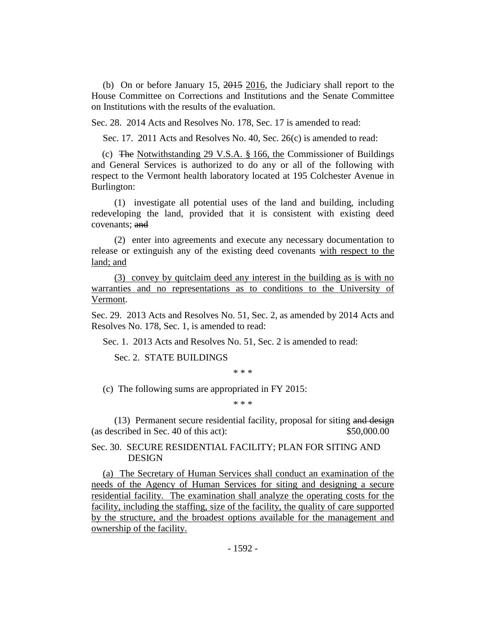(b) On or before January 15, 2015 2016, the Judiciary shall report to the House Committee on Corrections and Institutions and the Senate Committee on Institutions with the results of the evaluation.

Sec. 28. 2014 Acts and Resolves No. 178, Sec. 17 is amended to read:

Sec. 17. 2011 Acts and Resolves No. 40, Sec. 26(c) is amended to read:

(c) The Notwithstanding 29 V.S.A. § 166, the Commissioner of Buildings and General Services is authorized to do any or all of the following with respect to the Vermont health laboratory located at 195 Colchester Avenue in Burlington:

(1) investigate all potential uses of the land and building, including redeveloping the land, provided that it is consistent with existing deed covenants; and

(2) enter into agreements and execute any necessary documentation to release or extinguish any of the existing deed covenants with respect to the land; and

(3) convey by quitclaim deed any interest in the building as is with no warranties and no representations as to conditions to the University of Vermont.

Sec. 29. 2013 Acts and Resolves No. 51, Sec. 2, as amended by 2014 Acts and Resolves No. 178, Sec. 1, is amended to read:

Sec. 1. 2013 Acts and Resolves No. 51, Sec. 2 is amended to read:

Sec. 2. STATE BUILDINGS

\* \* \*

(c) The following sums are appropriated in FY 2015:

\* \* \*

(13) Permanent secure residential facility, proposal for siting and design (as described in Sec. 40 of this act): \$50,000.00

Sec. 30. SECURE RESIDENTIAL FACILITY; PLAN FOR SITING AND DESIGN

(a) The Secretary of Human Services shall conduct an examination of the needs of the Agency of Human Services for siting and designing a secure residential facility. The examination shall analyze the operating costs for the facility, including the staffing, size of the facility, the quality of care supported by the structure, and the broadest options available for the management and ownership of the facility.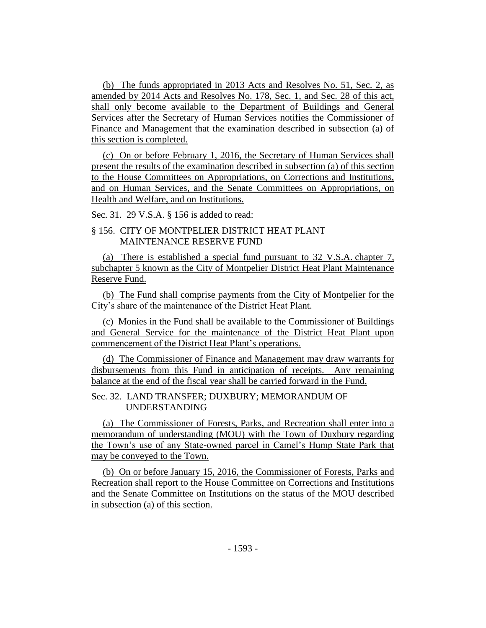(b) The funds appropriated in 2013 Acts and Resolves No. 51, Sec. 2, as amended by 2014 Acts and Resolves No. 178, Sec. 1, and Sec. 28 of this act, shall only become available to the Department of Buildings and General Services after the Secretary of Human Services notifies the Commissioner of Finance and Management that the examination described in subsection (a) of this section is completed.

(c) On or before February 1, 2016, the Secretary of Human Services shall present the results of the examination described in subsection (a) of this section to the House Committees on Appropriations, on Corrections and Institutions, and on Human Services, and the Senate Committees on Appropriations, on Health and Welfare, and on Institutions.

Sec. 31. 29 V.S.A. § 156 is added to read:

# § 156. CITY OF MONTPELIER DISTRICT HEAT PLANT MAINTENANCE RESERVE FUND

(a) There is established a special fund pursuant to 32 V.S.A. chapter 7, subchapter 5 known as the City of Montpelier District Heat Plant Maintenance Reserve Fund.

(b) The Fund shall comprise payments from the City of Montpelier for the City's share of the maintenance of the District Heat Plant.

(c) Monies in the Fund shall be available to the Commissioner of Buildings and General Service for the maintenance of the District Heat Plant upon commencement of the District Heat Plant's operations.

(d) The Commissioner of Finance and Management may draw warrants for disbursements from this Fund in anticipation of receipts. Any remaining balance at the end of the fiscal year shall be carried forward in the Fund.

# Sec. 32. LAND TRANSFER; DUXBURY; MEMORANDUM OF UNDERSTANDING

(a) The Commissioner of Forests, Parks, and Recreation shall enter into a memorandum of understanding (MOU) with the Town of Duxbury regarding the Town's use of any State-owned parcel in Camel's Hump State Park that may be conveyed to the Town.

(b) On or before January 15, 2016, the Commissioner of Forests, Parks and Recreation shall report to the House Committee on Corrections and Institutions and the Senate Committee on Institutions on the status of the MOU described in subsection (a) of this section.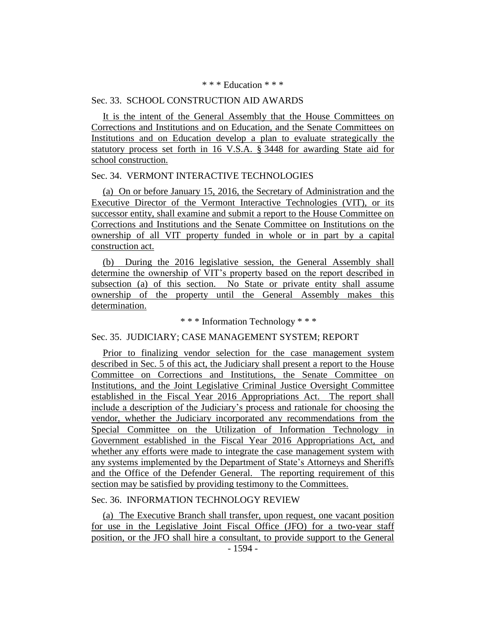#### \* \* \* Education \* \* \*

#### Sec. 33. SCHOOL CONSTRUCTION AID AWARDS

It is the intent of the General Assembly that the House Committees on Corrections and Institutions and on Education, and the Senate Committees on Institutions and on Education develop a plan to evaluate strategically the statutory process set forth in 16 V.S.A. § 3448 for awarding State aid for school construction.

#### Sec. 34. VERMONT INTERACTIVE TECHNOLOGIES

(a) On or before January 15, 2016, the Secretary of Administration and the Executive Director of the Vermont Interactive Technologies (VIT), or its successor entity, shall examine and submit a report to the House Committee on Corrections and Institutions and the Senate Committee on Institutions on the ownership of all VIT property funded in whole or in part by a capital construction act.

(b) During the 2016 legislative session, the General Assembly shall determine the ownership of VIT's property based on the report described in subsection (a) of this section. No State or private entity shall assume ownership of the property until the General Assembly makes this determination.

\* \* \* Information Technology \* \* \*

#### Sec. 35. JUDICIARY; CASE MANAGEMENT SYSTEM; REPORT

Prior to finalizing vendor selection for the case management system described in Sec. 5 of this act, the Judiciary shall present a report to the House Committee on Corrections and Institutions, the Senate Committee on Institutions, and the Joint Legislative Criminal Justice Oversight Committee established in the Fiscal Year 2016 Appropriations Act. The report shall include a description of the Judiciary's process and rationale for choosing the vendor, whether the Judiciary incorporated any recommendations from the Special Committee on the Utilization of Information Technology in Government established in the Fiscal Year 2016 Appropriations Act, and whether any efforts were made to integrate the case management system with any systems implemented by the Department of State's Attorneys and Sheriffs and the Office of the Defender General. The reporting requirement of this section may be satisfied by providing testimony to the Committees.

#### Sec. 36. INFORMATION TECHNOLOGY REVIEW

(a) The Executive Branch shall transfer, upon request, one vacant position for use in the Legislative Joint Fiscal Office (JFO) for a two-year staff position, or the JFO shall hire a consultant, to provide support to the General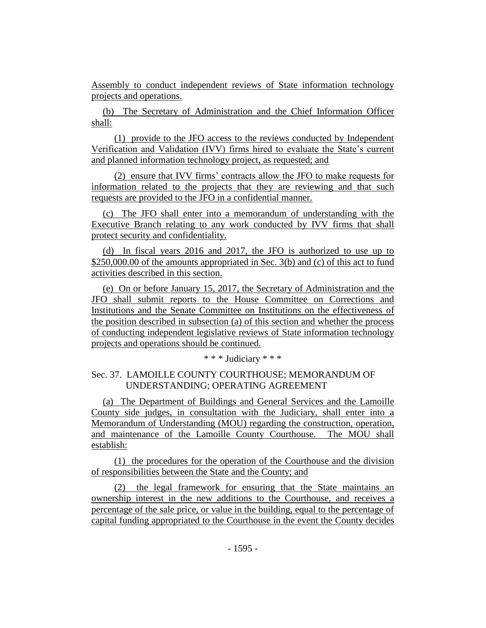Assembly to conduct independent reviews of State information technology projects and operations.

(b) The Secretary of Administration and the Chief Information Officer shall:

(1) provide to the JFO access to the reviews conducted by Independent Verification and Validation (IVV) firms hired to evaluate the State's current and planned information technology project, as requested; and

(2) ensure that IVV firms' contracts allow the JFO to make requests for information related to the projects that they are reviewing and that such requests are provided to the JFO in a confidential manner.

(c) The JFO shall enter into a memorandum of understanding with the Executive Branch relating to any work conducted by IVV firms that shall protect security and confidentiality.

(d) In fiscal years 2016 and 2017, the JFO is authorized to use up to \$250,000.00 of the amounts appropriated in Sec. 3(b) and (c) of this act to fund activities described in this section.

(e) On or before January 15, 2017, the Secretary of Administration and the JFO shall submit reports to the House Committee on Corrections and Institutions and the Senate Committee on Institutions on the effectiveness of the position described in subsection (a) of this section and whether the process of conducting independent legislative reviews of State information technology projects and operations should be continued.

# \* \* \* Judiciary \* \* \*

# Sec. 37. LAMOILLE COUNTY COURTHOUSE; MEMORANDUM OF UNDERSTANDING; OPERATING AGREEMENT

(a) The Department of Buildings and General Services and the Lamoille County side judges, in consultation with the Judiciary, shall enter into a Memorandum of Understanding (MOU) regarding the construction, operation, and maintenance of the Lamoille County Courthouse. The MOU shall establish:

(1) the procedures for the operation of the Courthouse and the division of responsibilities between the State and the County; and

(2) the legal framework for ensuring that the State maintains an ownership interest in the new additions to the Courthouse, and receives a percentage of the sale price, or value in the building, equal to the percentage of capital funding appropriated to the Courthouse in the event the County decides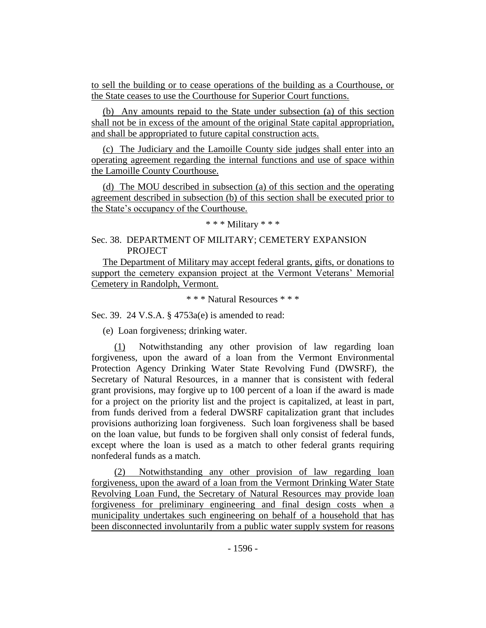to sell the building or to cease operations of the building as a Courthouse, or the State ceases to use the Courthouse for Superior Court functions.

(b) Any amounts repaid to the State under subsection (a) of this section shall not be in excess of the amount of the original State capital appropriation, and shall be appropriated to future capital construction acts.

(c) The Judiciary and the Lamoille County side judges shall enter into an operating agreement regarding the internal functions and use of space within the Lamoille County Courthouse.

(d) The MOU described in subsection (a) of this section and the operating agreement described in subsection (b) of this section shall be executed prior to the State's occupancy of the Courthouse.

# \* \* \* Military \* \* \*

# Sec. 38. DEPARTMENT OF MILITARY; CEMETERY EXPANSION **PROJECT**

The Department of Military may accept federal grants, gifts, or donations to support the cemetery expansion project at the Vermont Veterans' Memorial Cemetery in Randolph, Vermont.

\* \* \* Natural Resources \* \* \*

Sec. 39. 24 V.S.A. § 4753a(e) is amended to read:

(e) Loan forgiveness; drinking water.

(1) Notwithstanding any other provision of law regarding loan forgiveness, upon the award of a loan from the Vermont Environmental Protection Agency Drinking Water State Revolving Fund (DWSRF), the Secretary of Natural Resources, in a manner that is consistent with federal grant provisions, may forgive up to 100 percent of a loan if the award is made for a project on the priority list and the project is capitalized, at least in part, from funds derived from a federal DWSRF capitalization grant that includes provisions authorizing loan forgiveness. Such loan forgiveness shall be based on the loan value, but funds to be forgiven shall only consist of federal funds, except where the loan is used as a match to other federal grants requiring nonfederal funds as a match.

(2) Notwithstanding any other provision of law regarding loan forgiveness, upon the award of a loan from the Vermont Drinking Water State Revolving Loan Fund, the Secretary of Natural Resources may provide loan forgiveness for preliminary engineering and final design costs when a municipality undertakes such engineering on behalf of a household that has been disconnected involuntarily from a public water supply system for reasons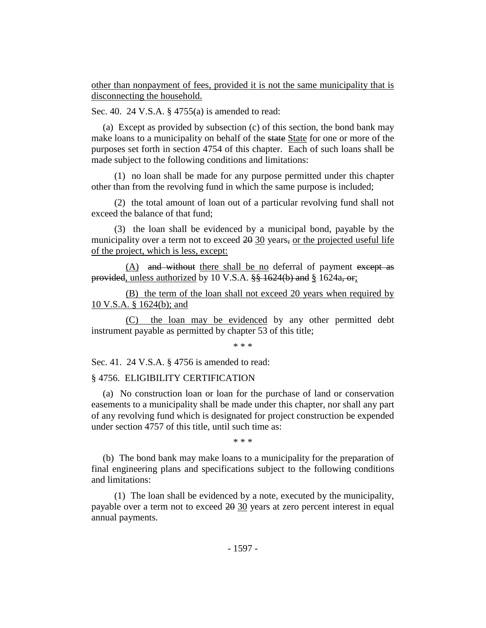other than nonpayment of fees, provided it is not the same municipality that is disconnecting the household.

Sec. 40. 24 V.S.A. § 4755(a) is amended to read:

(a) Except as provided by subsection (c) of this section, the bond bank may make loans to a municipality on behalf of the state State for one or more of the purposes set forth in section 4754 of this chapter. Each of such loans shall be made subject to the following conditions and limitations:

(1) no loan shall be made for any purpose permitted under this chapter other than from the revolving fund in which the same purpose is included;

(2) the total amount of loan out of a particular revolving fund shall not exceed the balance of that fund;

(3) the loan shall be evidenced by a municipal bond, payable by the municipality over a term not to exceed 20 30 years, or the projected useful life of the project, which is less, except:

(A) and without there shall be no deferral of payment except as provided, unless authorized by 10 V.S.A.  $\frac{8}{5}$  1624(b) and § 1624a, or;

(B) the term of the loan shall not exceed 20 years when required by 10 V.S.A. § 1624(b); and

(C) the loan may be evidenced by any other permitted debt instrument payable as permitted by chapter 53 of this title;

\* \* \*

Sec. 41. 24 V.S.A. § 4756 is amended to read:

#### § 4756. ELIGIBILITY CERTIFICATION

(a) No construction loan or loan for the purchase of land or conservation easements to a municipality shall be made under this chapter, nor shall any part of any revolving fund which is designated for project construction be expended under section 4757 of this title, until such time as:

\* \* \*

(b) The bond bank may make loans to a municipality for the preparation of final engineering plans and specifications subject to the following conditions and limitations:

(1) The loan shall be evidenced by a note, executed by the municipality, payable over a term not to exceed 20 30 years at zero percent interest in equal annual payments.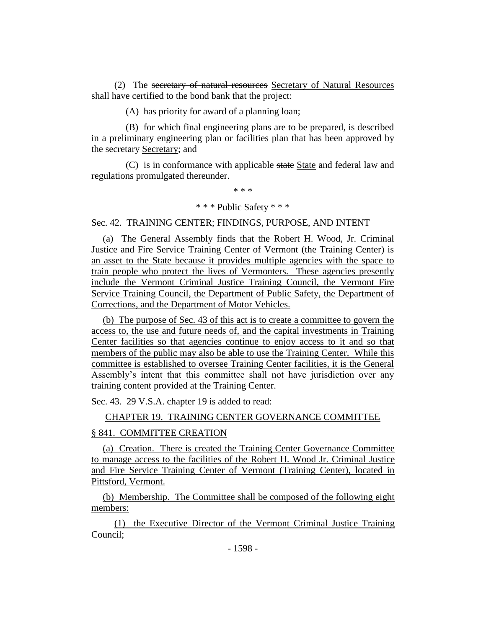(2) The secretary of natural resources Secretary of Natural Resources shall have certified to the bond bank that the project:

(A) has priority for award of a planning loan;

(B) for which final engineering plans are to be prepared, is described in a preliminary engineering plan or facilities plan that has been approved by the secretary Secretary; and

(C) is in conformance with applicable state State and federal law and regulations promulgated thereunder.

\* \* \*

# \* \* \* Public Safety \* \* \*

Sec. 42. TRAINING CENTER; FINDINGS, PURPOSE, AND INTENT

(a) The General Assembly finds that the Robert H. Wood, Jr. Criminal Justice and Fire Service Training Center of Vermont (the Training Center) is an asset to the State because it provides multiple agencies with the space to train people who protect the lives of Vermonters. These agencies presently include the Vermont Criminal Justice Training Council, the Vermont Fire Service Training Council, the Department of Public Safety, the Department of Corrections, and the Department of Motor Vehicles.

(b) The purpose of Sec. 43 of this act is to create a committee to govern the access to, the use and future needs of, and the capital investments in Training Center facilities so that agencies continue to enjoy access to it and so that members of the public may also be able to use the Training Center. While this committee is established to oversee Training Center facilities, it is the General Assembly's intent that this committee shall not have jurisdiction over any training content provided at the Training Center.

Sec. 43. 29 V.S.A. chapter 19 is added to read:

# CHAPTER 19. TRAINING CENTER GOVERNANCE COMMITTEE

# § 841. COMMITTEE CREATION

(a) Creation. There is created the Training Center Governance Committee to manage access to the facilities of the Robert H. Wood Jr. Criminal Justice and Fire Service Training Center of Vermont (Training Center), located in Pittsford, Vermont.

(b) Membership. The Committee shall be composed of the following eight members:

(1) the Executive Director of the Vermont Criminal Justice Training Council;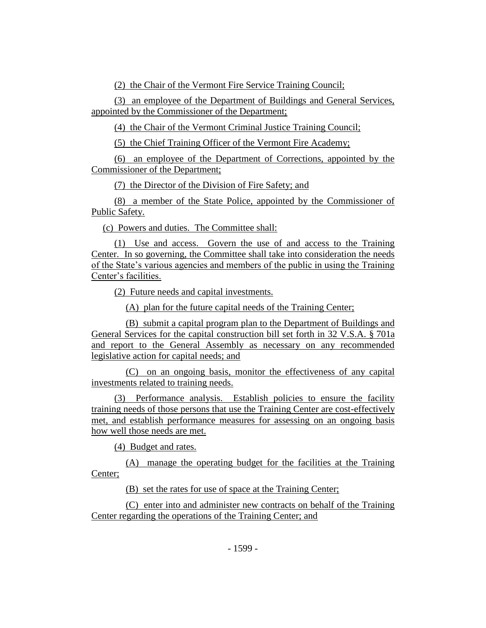(2) the Chair of the Vermont Fire Service Training Council;

(3) an employee of the Department of Buildings and General Services, appointed by the Commissioner of the Department;

(4) the Chair of the Vermont Criminal Justice Training Council;

(5) the Chief Training Officer of the Vermont Fire Academy;

(6) an employee of the Department of Corrections, appointed by the Commissioner of the Department;

(7) the Director of the Division of Fire Safety; and

(8) a member of the State Police, appointed by the Commissioner of Public Safety.

(c) Powers and duties. The Committee shall:

(1) Use and access. Govern the use of and access to the Training Center. In so governing, the Committee shall take into consideration the needs of the State's various agencies and members of the public in using the Training Center's facilities.

(2) Future needs and capital investments.

(A) plan for the future capital needs of the Training Center;

(B) submit a capital program plan to the Department of Buildings and General Services for the capital construction bill set forth in 32 V.S.A. § 701a and report to the General Assembly as necessary on any recommended legislative action for capital needs; and

(C) on an ongoing basis, monitor the effectiveness of any capital investments related to training needs.

(3) Performance analysis. Establish policies to ensure the facility training needs of those persons that use the Training Center are cost-effectively met, and establish performance measures for assessing on an ongoing basis how well those needs are met.

(4) Budget and rates.

(A) manage the operating budget for the facilities at the Training Center;

(B) set the rates for use of space at the Training Center;

(C) enter into and administer new contracts on behalf of the Training Center regarding the operations of the Training Center; and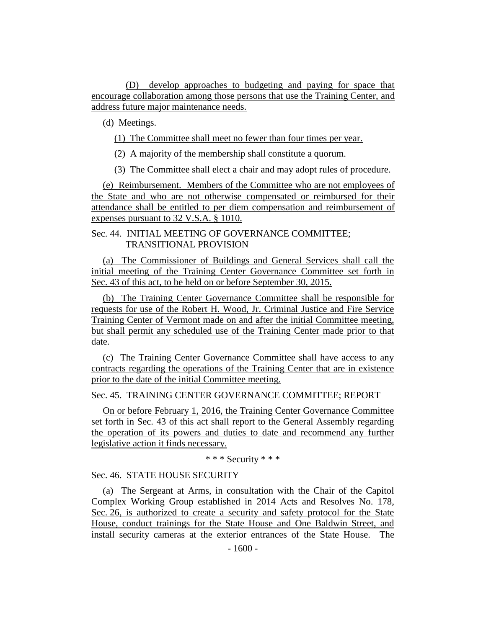(D) develop approaches to budgeting and paying for space that encourage collaboration among those persons that use the Training Center, and address future major maintenance needs.

(d) Meetings.

(1) The Committee shall meet no fewer than four times per year.

(2) A majority of the membership shall constitute a quorum.

(3) The Committee shall elect a chair and may adopt rules of procedure.

(e) Reimbursement. Members of the Committee who are not employees of the State and who are not otherwise compensated or reimbursed for their attendance shall be entitled to per diem compensation and reimbursement of expenses pursuant to 32 V.S.A. § 1010.

# Sec. 44. INITIAL MEETING OF GOVERNANCE COMMITTEE; TRANSITIONAL PROVISION

(a) The Commissioner of Buildings and General Services shall call the initial meeting of the Training Center Governance Committee set forth in Sec. 43 of this act, to be held on or before September 30, 2015.

(b) The Training Center Governance Committee shall be responsible for requests for use of the Robert H. Wood, Jr. Criminal Justice and Fire Service Training Center of Vermont made on and after the initial Committee meeting, but shall permit any scheduled use of the Training Center made prior to that date.

(c) The Training Center Governance Committee shall have access to any contracts regarding the operations of the Training Center that are in existence prior to the date of the initial Committee meeting.

Sec. 45. TRAINING CENTER GOVERNANCE COMMITTEE; REPORT

On or before February 1, 2016, the Training Center Governance Committee set forth in Sec. 43 of this act shall report to the General Assembly regarding the operation of its powers and duties to date and recommend any further legislative action it finds necessary.

\* \* \* Security \* \* \*

# Sec. 46. STATE HOUSE SECURITY

(a) The Sergeant at Arms, in consultation with the Chair of the Capitol Complex Working Group established in 2014 Acts and Resolves No. 178, Sec. 26, is authorized to create a security and safety protocol for the State House, conduct trainings for the State House and One Baldwin Street, and install security cameras at the exterior entrances of the State House. The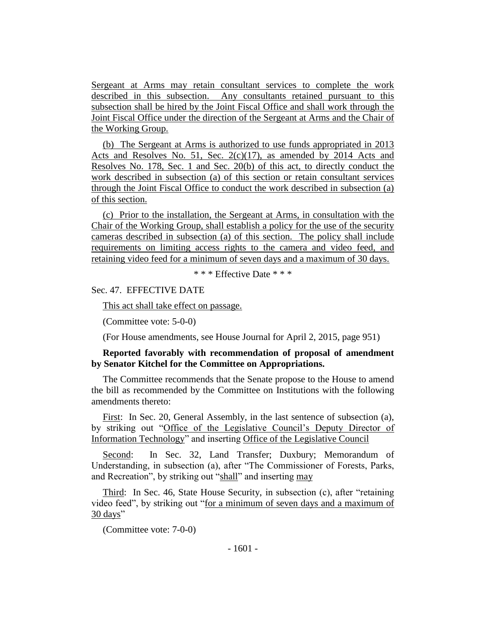Sergeant at Arms may retain consultant services to complete the work described in this subsection. Any consultants retained pursuant to this subsection shall be hired by the Joint Fiscal Office and shall work through the Joint Fiscal Office under the direction of the Sergeant at Arms and the Chair of the Working Group.

(b) The Sergeant at Arms is authorized to use funds appropriated in 2013 Acts and Resolves No. 51, Sec. 2(c)(17), as amended by 2014 Acts and Resolves No. 178, Sec. 1 and Sec. 20(b) of this act, to directly conduct the work described in subsection (a) of this section or retain consultant services through the Joint Fiscal Office to conduct the work described in subsection (a) of this section.

(c) Prior to the installation, the Sergeant at Arms, in consultation with the Chair of the Working Group, shall establish a policy for the use of the security cameras described in subsection (a) of this section. The policy shall include requirements on limiting access rights to the camera and video feed, and retaining video feed for a minimum of seven days and a maximum of 30 days.

\* \* \* Effective Date \* \* \*

Sec. 47. EFFECTIVE DATE

This act shall take effect on passage.

(Committee vote: 5-0-0)

(For House amendments, see House Journal for April 2, 2015, page 951)

# **Reported favorably with recommendation of proposal of amendment by Senator Kitchel for the Committee on Appropriations.**

The Committee recommends that the Senate propose to the House to amend the bill as recommended by the Committee on Institutions with the following amendments thereto:

First: In Sec. 20, General Assembly, in the last sentence of subsection (a), by striking out "Office of the Legislative Council's Deputy Director of Information Technology" and inserting Office of the Legislative Council

Second: In Sec. 32, Land Transfer; Duxbury; Memorandum of Understanding, in subsection (a), after "The Commissioner of Forests, Parks, and Recreation", by striking out "shall" and inserting may

Third: In Sec. 46, State House Security, in subsection (c), after "retaining video feed", by striking out "for a minimum of seven days and a maximum of 30 days"

(Committee vote: 7-0-0)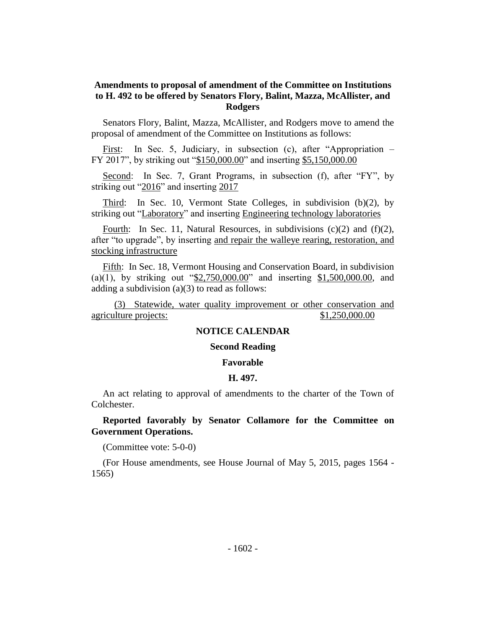# **Amendments to proposal of amendment of the Committee on Institutions to H. 492 to be offered by Senators Flory, Balint, Mazza, McAllister, and Rodgers**

Senators Flory, Balint, Mazza, McAllister, and Rodgers move to amend the proposal of amendment of the Committee on Institutions as follows:

First: In Sec. 5, Judiciary, in subsection (c), after "Appropriation – FY 2017", by striking out "\$150,000.00" and inserting \$5,150,000.00

Second: In Sec. 7, Grant Programs, in subsection (f), after "FY", by striking out "2016" and inserting 2017

Third: In Sec. 10, Vermont State Colleges, in subdivision (b)(2), by striking out "Laboratory" and inserting Engineering technology laboratories

Fourth: In Sec. 11, Natural Resources, in subdivisions (c)(2) and (f)(2), after "to upgrade", by inserting and repair the walleye rearing, restoration, and stocking infrastructure

Fifth: In Sec. 18, Vermont Housing and Conservation Board, in subdivision (a)(1), by striking out " $2,750,000.00$ " and inserting  $1,500,000.00$ , and adding a subdivision (a)(3) to read as follows:

(3) Statewide, water quality improvement or other conservation and agriculture projects:  $$1,250,000.00$ 

#### **NOTICE CALENDAR**

#### **Second Reading**

#### **Favorable**

#### **H. 497.**

An act relating to approval of amendments to the charter of the Town of Colchester.

# **Reported favorably by Senator Collamore for the Committee on Government Operations.**

(Committee vote: 5-0-0)

(For House amendments, see House Journal of May 5, 2015, pages 1564 - 1565)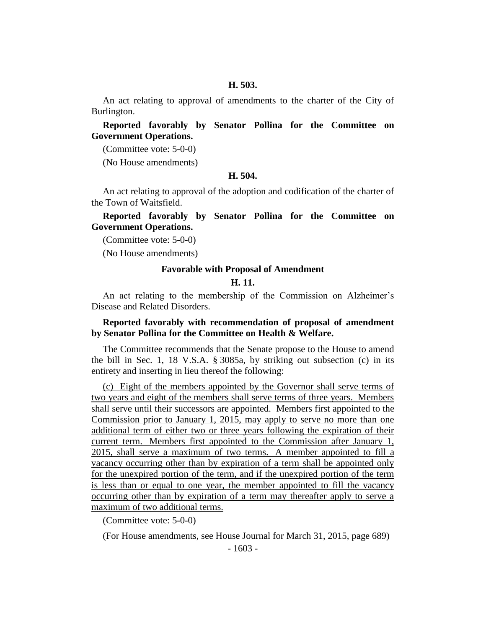#### **H. 503.**

An act relating to approval of amendments to the charter of the City of Burlington.

**Reported favorably by Senator Pollina for the Committee on Government Operations.**

(Committee vote: 5-0-0)

(No House amendments)

#### **H. 504.**

An act relating to approval of the adoption and codification of the charter of the Town of Waitsfield.

**Reported favorably by Senator Pollina for the Committee on Government Operations.**

(Committee vote: 5-0-0)

(No House amendments)

#### **Favorable with Proposal of Amendment**

#### **H. 11.**

An act relating to the membership of the Commission on Alzheimer's Disease and Related Disorders.

# **Reported favorably with recommendation of proposal of amendment by Senator Pollina for the Committee on Health & Welfare.**

The Committee recommends that the Senate propose to the House to amend the bill in Sec. 1, 18 V.S.A. § 3085a, by striking out subsection (c) in its entirety and inserting in lieu thereof the following:

(c) Eight of the members appointed by the Governor shall serve terms of two years and eight of the members shall serve terms of three years. Members shall serve until their successors are appointed. Members first appointed to the Commission prior to January 1, 2015, may apply to serve no more than one additional term of either two or three years following the expiration of their current term. Members first appointed to the Commission after January 1, 2015, shall serve a maximum of two terms. A member appointed to fill a vacancy occurring other than by expiration of a term shall be appointed only for the unexpired portion of the term, and if the unexpired portion of the term is less than or equal to one year, the member appointed to fill the vacancy occurring other than by expiration of a term may thereafter apply to serve a maximum of two additional terms.

(Committee vote: 5-0-0)

(For House amendments, see House Journal for March 31, 2015, page 689)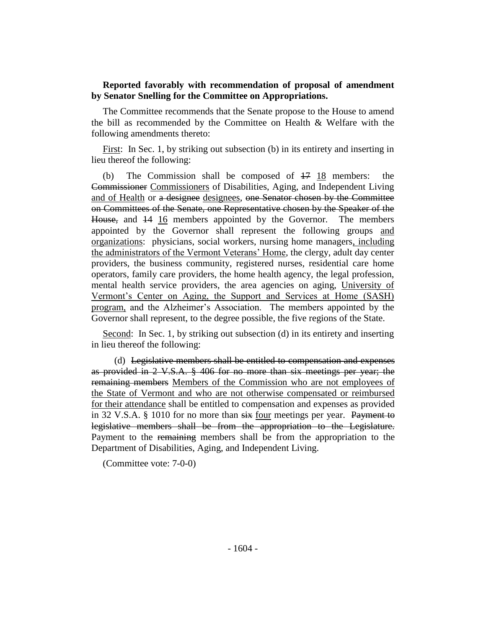# **Reported favorably with recommendation of proposal of amendment by Senator Snelling for the Committee on Appropriations.**

The Committee recommends that the Senate propose to the House to amend the bill as recommended by the Committee on Health & Welfare with the following amendments thereto:

First: In Sec. 1, by striking out subsection (b) in its entirety and inserting in lieu thereof the following:

(b) The Commission shall be composed of 17 18 members: the Commissioner Commissioners of Disabilities, Aging, and Independent Living and of Health or a designee designees, one Senator chosen by the Committee on Committees of the Senate, one Representative chosen by the Speaker of the House, and 14 16 members appointed by the Governor. The members appointed by the Governor shall represent the following groups and organizations: physicians, social workers, nursing home managers, including the administrators of the Vermont Veterans' Home, the clergy, adult day center providers, the business community, registered nurses, residential care home operators, family care providers, the home health agency, the legal profession, mental health service providers, the area agencies on aging, University of Vermont's Center on Aging, the Support and Services at Home (SASH) program, and the Alzheimer's Association. The members appointed by the Governor shall represent, to the degree possible, the five regions of the State.

Second: In Sec. 1, by striking out subsection (d) in its entirety and inserting in lieu thereof the following:

(d) Legislative members shall be entitled to compensation and expenses as provided in 2 V.S.A. § 406 for no more than six meetings per year; the remaining members Members of the Commission who are not employees of the State of Vermont and who are not otherwise compensated or reimbursed for their attendance shall be entitled to compensation and expenses as provided in 32 V.S.A.  $\S$  1010 for no more than  $s$ ix four meetings per year. Payment to legislative members shall be from the appropriation to the Legislature. Payment to the remaining members shall be from the appropriation to the Department of Disabilities, Aging, and Independent Living.

(Committee vote: 7-0-0)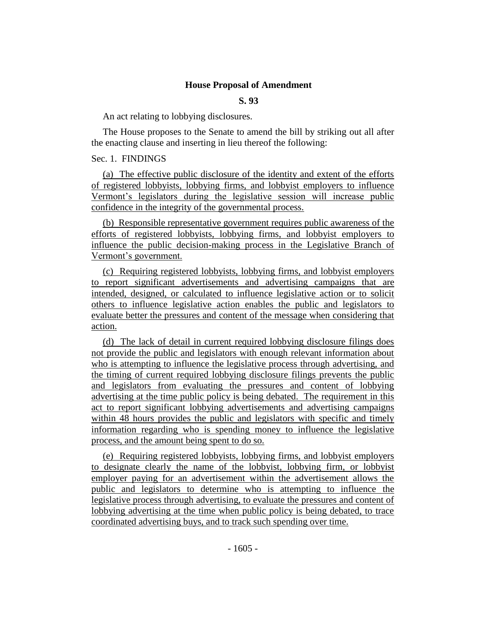#### **House Proposal of Amendment**

# **S. 93**

An act relating to lobbying disclosures.

The House proposes to the Senate to amend the bill by striking out all after the enacting clause and inserting in lieu thereof the following:

# Sec. 1. FINDINGS

(a) The effective public disclosure of the identity and extent of the efforts of registered lobbyists, lobbying firms, and lobbyist employers to influence Vermont's legislators during the legislative session will increase public confidence in the integrity of the governmental process.

(b) Responsible representative government requires public awareness of the efforts of registered lobbyists, lobbying firms, and lobbyist employers to influence the public decision-making process in the Legislative Branch of Vermont's government.

(c) Requiring registered lobbyists, lobbying firms, and lobbyist employers to report significant advertisements and advertising campaigns that are intended, designed, or calculated to influence legislative action or to solicit others to influence legislative action enables the public and legislators to evaluate better the pressures and content of the message when considering that action.

(d) The lack of detail in current required lobbying disclosure filings does not provide the public and legislators with enough relevant information about who is attempting to influence the legislative process through advertising, and the timing of current required lobbying disclosure filings prevents the public and legislators from evaluating the pressures and content of lobbying advertising at the time public policy is being debated. The requirement in this act to report significant lobbying advertisements and advertising campaigns within 48 hours provides the public and legislators with specific and timely information regarding who is spending money to influence the legislative process, and the amount being spent to do so.

(e) Requiring registered lobbyists, lobbying firms, and lobbyist employers to designate clearly the name of the lobbyist, lobbying firm, or lobbyist employer paying for an advertisement within the advertisement allows the public and legislators to determine who is attempting to influence the legislative process through advertising, to evaluate the pressures and content of lobbying advertising at the time when public policy is being debated, to trace coordinated advertising buys, and to track such spending over time.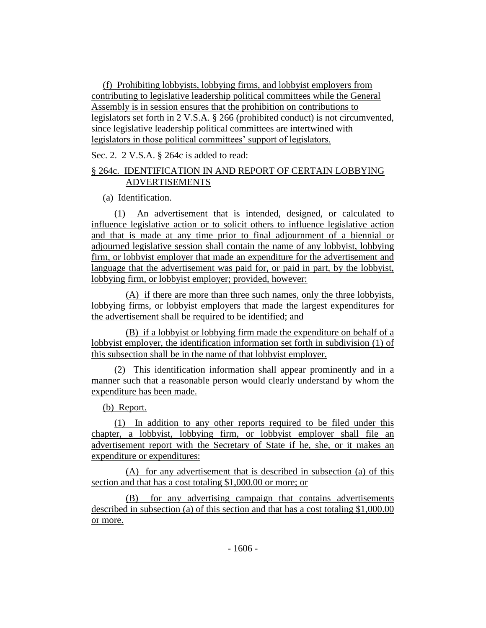(f) Prohibiting lobbyists, lobbying firms, and lobbyist employers from contributing to legislative leadership political committees while the General Assembly is in session ensures that the prohibition on contributions to legislators set forth in 2 V.S.A. § 266 (prohibited conduct) is not circumvented, since legislative leadership political committees are intertwined with legislators in those political committees' support of legislators.

Sec. 2. 2 V.S.A. § 264c is added to read:

# § 264c. IDENTIFICATION IN AND REPORT OF CERTAIN LOBBYING ADVERTISEMENTS

(a) Identification.

(1) An advertisement that is intended, designed, or calculated to influence legislative action or to solicit others to influence legislative action and that is made at any time prior to final adjournment of a biennial or adjourned legislative session shall contain the name of any lobbyist, lobbying firm, or lobbyist employer that made an expenditure for the advertisement and language that the advertisement was paid for, or paid in part, by the lobbyist, lobbying firm, or lobbyist employer; provided, however:

(A) if there are more than three such names, only the three lobbyists, lobbying firms, or lobbyist employers that made the largest expenditures for the advertisement shall be required to be identified; and

(B) if a lobbyist or lobbying firm made the expenditure on behalf of a lobbyist employer, the identification information set forth in subdivision (1) of this subsection shall be in the name of that lobbyist employer.

(2) This identification information shall appear prominently and in a manner such that a reasonable person would clearly understand by whom the expenditure has been made.

(b) Report.

(1) In addition to any other reports required to be filed under this chapter, a lobbyist, lobbying firm, or lobbyist employer shall file an advertisement report with the Secretary of State if he, she, or it makes an expenditure or expenditures:

(A) for any advertisement that is described in subsection (a) of this section and that has a cost totaling \$1,000.00 or more; or

(B) for any advertising campaign that contains advertisements described in subsection (a) of this section and that has a cost totaling \$1,000.00 or more.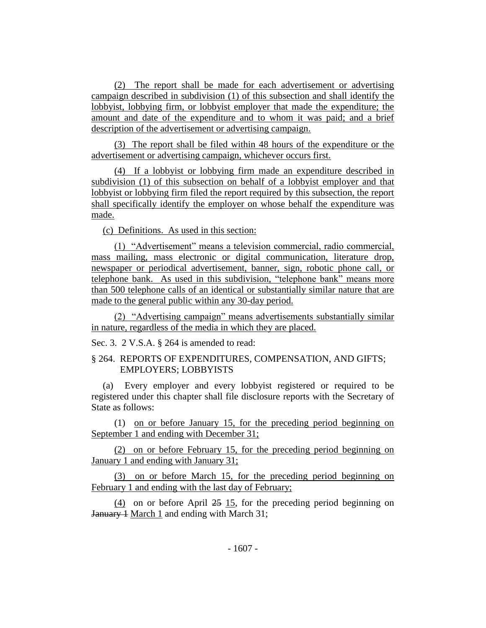(2) The report shall be made for each advertisement or advertising campaign described in subdivision (1) of this subsection and shall identify the lobbyist, lobbying firm, or lobbyist employer that made the expenditure; the amount and date of the expenditure and to whom it was paid; and a brief description of the advertisement or advertising campaign.

(3) The report shall be filed within 48 hours of the expenditure or the advertisement or advertising campaign, whichever occurs first.

(4) If a lobbyist or lobbying firm made an expenditure described in subdivision (1) of this subsection on behalf of a lobbyist employer and that lobbyist or lobbying firm filed the report required by this subsection, the report shall specifically identify the employer on whose behalf the expenditure was made.

(c) Definitions. As used in this section:

(1) "Advertisement" means a television commercial, radio commercial, mass mailing, mass electronic or digital communication, literature drop, newspaper or periodical advertisement, banner, sign, robotic phone call, or telephone bank. As used in this subdivision, "telephone bank" means more than 500 telephone calls of an identical or substantially similar nature that are made to the general public within any 30-day period.

(2) "Advertising campaign" means advertisements substantially similar in nature, regardless of the media in which they are placed.

Sec. 3. 2 V.S.A. § 264 is amended to read:

# § 264. REPORTS OF EXPENDITURES, COMPENSATION, AND GIFTS; EMPLOYERS; LOBBYISTS

(a) Every employer and every lobbyist registered or required to be registered under this chapter shall file disclosure reports with the Secretary of State as follows:

(1) on or before January 15, for the preceding period beginning on September 1 and ending with December 31;

(2) on or before February 15, for the preceding period beginning on January 1 and ending with January 31;

(3) on or before March 15, for the preceding period beginning on February 1 and ending with the last day of February;

(4) on or before April 25 15, for the preceding period beginning on January 1 March 1 and ending with March 31;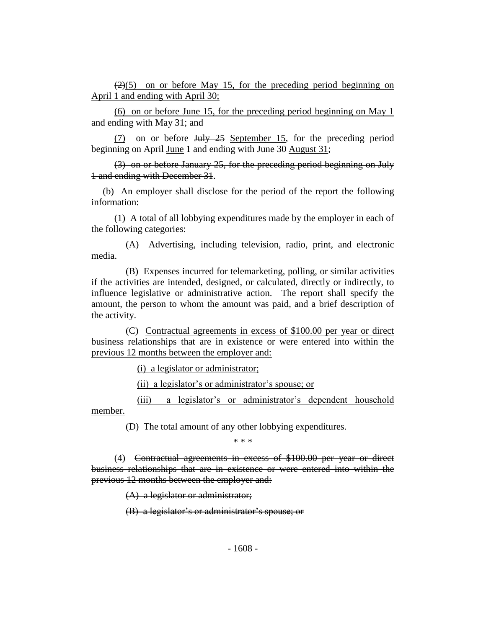$(2)(5)$  on or before May 15, for the preceding period beginning on April 1 and ending with April 30;

(6) on or before June 15, for the preceding period beginning on May 1 and ending with May 31; and

 $(7)$  on or before July 25 September 15, for the preceding period beginning on April June 1 and ending with June 30 August 31;

(3) on or before January 25, for the preceding period beginning on July 1 and ending with December 31.

(b) An employer shall disclose for the period of the report the following information:

(1) A total of all lobbying expenditures made by the employer in each of the following categories:

(A) Advertising, including television, radio, print, and electronic media.

(B) Expenses incurred for telemarketing, polling, or similar activities if the activities are intended, designed, or calculated, directly or indirectly, to influence legislative or administrative action. The report shall specify the amount, the person to whom the amount was paid, and a brief description of the activity.

(C) Contractual agreements in excess of \$100.00 per year or direct business relationships that are in existence or were entered into within the previous 12 months between the employer and:

(i) a legislator or administrator;

(ii) a legislator's or administrator's spouse; or

(iii) a legislator's or administrator's dependent household member.

(D) The total amount of any other lobbying expenditures.

\* \* \*

(4) Contractual agreements in excess of \$100.00 per year or direct business relationships that are in existence or were entered into within the previous 12 months between the employer and:

(A) a legislator or administrator;

(B) a legislator's or administrator's spouse; or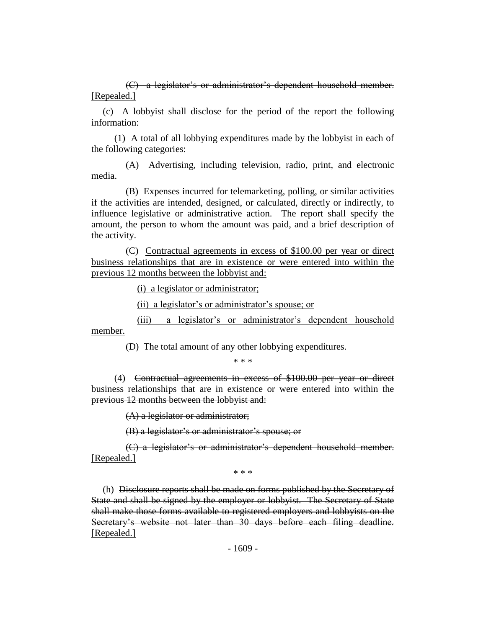(C) a legislator's or administrator's dependent household member. [Repealed.]

(c) A lobbyist shall disclose for the period of the report the following information:

(1) A total of all lobbying expenditures made by the lobbyist in each of the following categories:

(A) Advertising, including television, radio, print, and electronic media.

(B) Expenses incurred for telemarketing, polling, or similar activities if the activities are intended, designed, or calculated, directly or indirectly, to influence legislative or administrative action. The report shall specify the amount, the person to whom the amount was paid, and a brief description of the activity.

(C) Contractual agreements in excess of \$100.00 per year or direct business relationships that are in existence or were entered into within the previous 12 months between the lobbyist and:

(i) a legislator or administrator;

(ii) a legislator's or administrator's spouse; or

(iii) a legislator's or administrator's dependent household member.

(D) The total amount of any other lobbying expenditures.

\* \* \*

(4) Contractual agreements in excess of \$100.00 per year or direct business relationships that are in existence or were entered into within the previous 12 months between the lobbyist and:

(A) a legislator or administrator;

(B) a legislator's or administrator's spouse; or

(C) a legislator's or administrator's dependent household member. [Repealed.]

\* \* \*

(h) Disclosure reports shall be made on forms published by the Secretary of State and shall be signed by the employer or lobbyist. The Secretary of State shall make those forms available to registered employers and lobbyists on the Secretary's website not later than 30 days before each filing deadline. [Repealed.]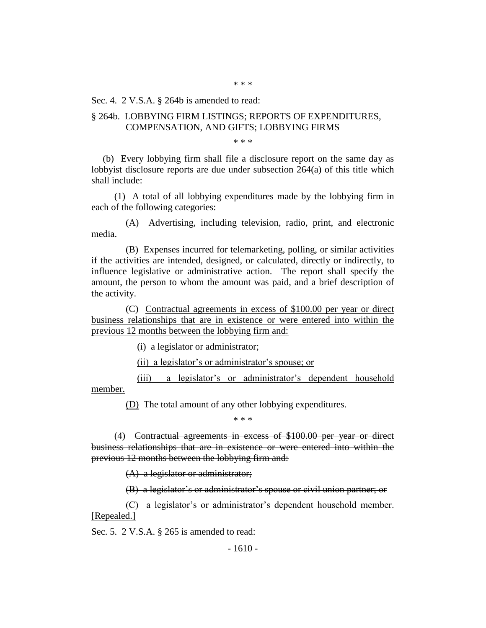Sec. 4. 2 V.S.A. § 264b is amended to read:

#### § 264b. LOBBYING FIRM LISTINGS; REPORTS OF EXPENDITURES, COMPENSATION, AND GIFTS; LOBBYING FIRMS

\* \* \*

(b) Every lobbying firm shall file a disclosure report on the same day as lobbyist disclosure reports are due under subsection 264(a) of this title which shall include:

(1) A total of all lobbying expenditures made by the lobbying firm in each of the following categories:

(A) Advertising, including television, radio, print, and electronic media.

(B) Expenses incurred for telemarketing, polling, or similar activities if the activities are intended, designed, or calculated, directly or indirectly, to influence legislative or administrative action. The report shall specify the amount, the person to whom the amount was paid, and a brief description of the activity.

(C) Contractual agreements in excess of \$100.00 per year or direct business relationships that are in existence or were entered into within the previous 12 months between the lobbying firm and:

(i) a legislator or administrator;

(ii) a legislator's or administrator's spouse; or

(iii) a legislator's or administrator's dependent household member.

(D) The total amount of any other lobbying expenditures.

\* \* \*

(4) Contractual agreements in excess of \$100.00 per year or direct business relationships that are in existence or were entered into within the previous 12 months between the lobbying firm and:

(A) a legislator or administrator;

(B) a legislator's or administrator's spouse or civil union partner; or

(C) a legislator's or administrator's dependent household member. [Repealed.]

Sec. 5. 2 V.S.A. § 265 is amended to read: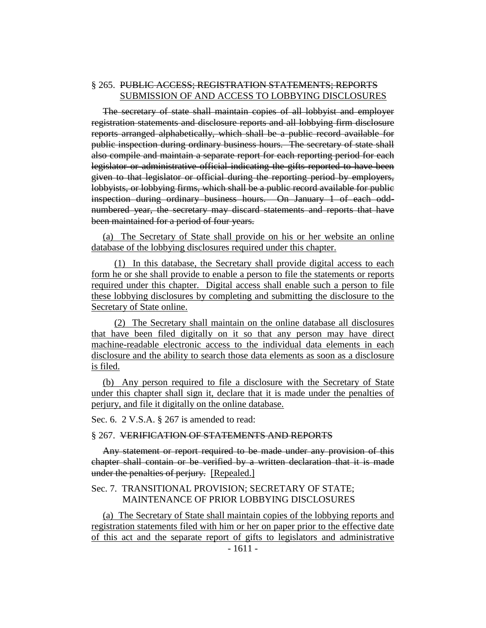### § 265. PUBLIC ACCESS; REGISTRATION STATEMENTS; REPORTS SUBMISSION OF AND ACCESS TO LOBBYING DISCLOSURES

The secretary of state shall maintain copies of all lobbyist and employer registration statements and disclosure reports and all lobbying firm disclosure reports arranged alphabetically, which shall be a public record available for public inspection during ordinary business hours. The secretary of state shall also compile and maintain a separate report for each reporting period for each legislator or administrative official indicating the gifts reported to have been given to that legislator or official during the reporting period by employers, lobbyists, or lobbying firms, which shall be a public record available for public inspection during ordinary business hours. On January 1 of each oddnumbered year, the secretary may discard statements and reports that have been maintained for a period of four years.

(a) The Secretary of State shall provide on his or her website an online database of the lobbying disclosures required under this chapter.

(1) In this database, the Secretary shall provide digital access to each form he or she shall provide to enable a person to file the statements or reports required under this chapter. Digital access shall enable such a person to file these lobbying disclosures by completing and submitting the disclosure to the Secretary of State online.

(2) The Secretary shall maintain on the online database all disclosures that have been filed digitally on it so that any person may have direct machine-readable electronic access to the individual data elements in each disclosure and the ability to search those data elements as soon as a disclosure is filed.

(b) Any person required to file a disclosure with the Secretary of State under this chapter shall sign it, declare that it is made under the penalties of perjury, and file it digitally on the online database.

Sec. 6. 2 V.S.A. § 267 is amended to read:

#### § 267. VERIFICATION OF STATEMENTS AND REPORTS

Any statement or report required to be made under any provision of this chapter shall contain or be verified by a written declaration that it is made under the penalties of perjury. [Repealed.]

#### Sec. 7. TRANSITIONAL PROVISION; SECRETARY OF STATE; MAINTENANCE OF PRIOR LOBBYING DISCLOSURES

(a) The Secretary of State shall maintain copies of the lobbying reports and registration statements filed with him or her on paper prior to the effective date of this act and the separate report of gifts to legislators and administrative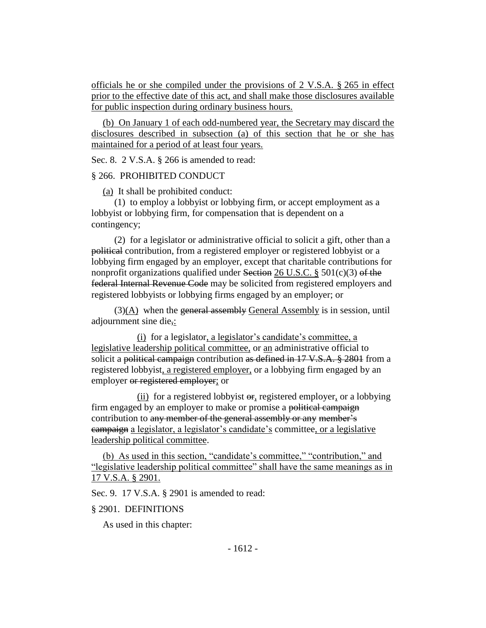officials he or she compiled under the provisions of 2 V.S.A. § 265 in effect prior to the effective date of this act, and shall make those disclosures available for public inspection during ordinary business hours.

(b) On January 1 of each odd-numbered year, the Secretary may discard the disclosures described in subsection (a) of this section that he or she has maintained for a period of at least four years.

Sec. 8. 2 V.S.A. § 266 is amended to read:

# § 266. PROHIBITED CONDUCT

(a) It shall be prohibited conduct:

(1) to employ a lobbyist or lobbying firm, or accept employment as a lobbyist or lobbying firm, for compensation that is dependent on a contingency;

(2) for a legislator or administrative official to solicit a gift, other than a political contribution, from a registered employer or registered lobbyist or a lobbying firm engaged by an employer, except that charitable contributions for nonprofit organizations qualified under Section 26 U.S.C. § 501(c)(3) of the federal Internal Revenue Code may be solicited from registered employers and registered lobbyists or lobbying firms engaged by an employer; or

 $(3)(A)$  when the general assembly General Assembly is in session, until adjournment sine die,:

(i) for a legislator, a legislator's candidate's committee, a legislative leadership political committee, or an administrative official to solicit a political campaign contribution as defined in 17 V.S.A. § 2801 from a registered lobbyist, a registered employer, or a lobbying firm engaged by an employer or registered employer; or

(ii) for a registered lobbyist  $\Theta$ <sub>r</sub>, registered employer, or a lobbying firm engaged by an employer to make or promise a political campaign contribution to any member of the general assembly or any member's campaign a legislator, a legislator's candidate's committee, or a legislative leadership political committee.

(b) As used in this section, "candidate's committee," "contribution," and "legislative leadership political committee" shall have the same meanings as in 17 V.S.A. § 2901.

Sec. 9. 17 V.S.A. § 2901 is amended to read:

# § 2901. DEFINITIONS

As used in this chapter: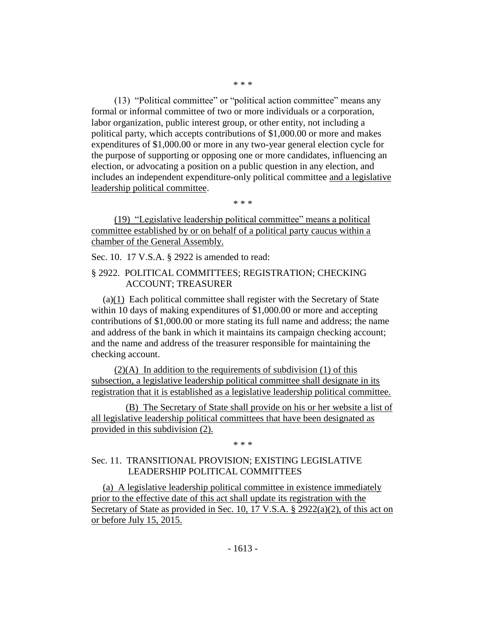(13) "Political committee" or "political action committee" means any formal or informal committee of two or more individuals or a corporation, labor organization, public interest group, or other entity, not including a political party, which accepts contributions of \$1,000.00 or more and makes expenditures of \$1,000.00 or more in any two-year general election cycle for the purpose of supporting or opposing one or more candidates, influencing an election, or advocating a position on a public question in any election, and includes an independent expenditure-only political committee and a legislative leadership political committee.

\* \* \*

(19) "Legislative leadership political committee" means a political committee established by or on behalf of a political party caucus within a chamber of the General Assembly.

Sec. 10. 17 V.S.A. § 2922 is amended to read:

# § 2922. POLITICAL COMMITTEES; REGISTRATION; CHECKING ACCOUNT; TREASURER

(a)(1) Each political committee shall register with the Secretary of State within 10 days of making expenditures of \$1,000.00 or more and accepting contributions of \$1,000.00 or more stating its full name and address; the name and address of the bank in which it maintains its campaign checking account; and the name and address of the treasurer responsible for maintaining the checking account.

 $(2)(A)$  In addition to the requirements of subdivision (1) of this subsection, a legislative leadership political committee shall designate in its registration that it is established as a legislative leadership political committee.

(B) The Secretary of State shall provide on his or her website a list of all legislative leadership political committees that have been designated as provided in this subdivision (2).

\* \* \*

# Sec. 11. TRANSITIONAL PROVISION; EXISTING LEGISLATIVE LEADERSHIP POLITICAL COMMITTEES

(a) A legislative leadership political committee in existence immediately prior to the effective date of this act shall update its registration with the Secretary of State as provided in Sec. 10, 17 V.S.A. § 2922(a)(2), of this act on or before July 15, 2015.

\* \* \*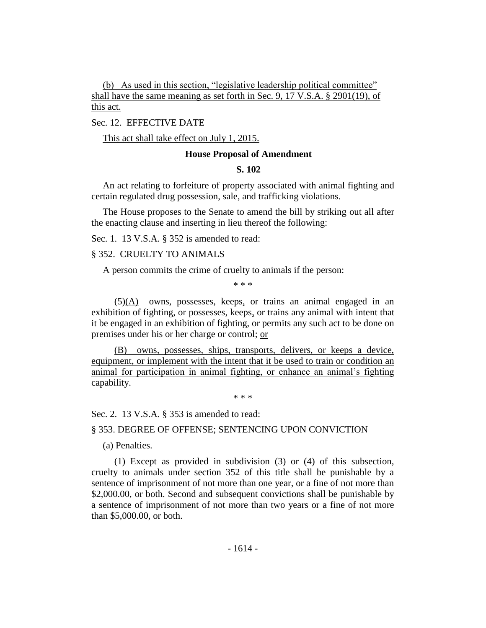(b) As used in this section, "legislative leadership political committee" shall have the same meaning as set forth in Sec. 9, 17 V.S.A. § 2901(19), of this act.

Sec. 12. EFFECTIVE DATE

This act shall take effect on July 1, 2015.

#### **House Proposal of Amendment**

#### **S. 102**

An act relating to forfeiture of property associated with animal fighting and certain regulated drug possession, sale, and trafficking violations.

The House proposes to the Senate to amend the bill by striking out all after the enacting clause and inserting in lieu thereof the following:

Sec. 1. 13 V.S.A. § 352 is amended to read:

# § 352. CRUELTY TO ANIMALS

A person commits the crime of cruelty to animals if the person:

\* \* \*

 $(5)(A)$  owns, possesses, keeps, or trains an animal engaged in an exhibition of fighting, or possesses, keeps, or trains any animal with intent that it be engaged in an exhibition of fighting, or permits any such act to be done on premises under his or her charge or control; or

(B) owns, possesses, ships, transports, delivers, or keeps a device, equipment, or implement with the intent that it be used to train or condition an animal for participation in animal fighting, or enhance an animal's fighting capability.

\* \* \*

Sec. 2. 13 V.S.A. § 353 is amended to read:

§ 353. DEGREE OF OFFENSE; SENTENCING UPON CONVICTION

(a) Penalties.

(1) Except as provided in subdivision (3) or (4) of this subsection, cruelty to animals under section 352 of this title shall be punishable by a sentence of imprisonment of not more than one year, or a fine of not more than \$2,000.00, or both. Second and subsequent convictions shall be punishable by a sentence of imprisonment of not more than two years or a fine of not more than \$5,000.00, or both.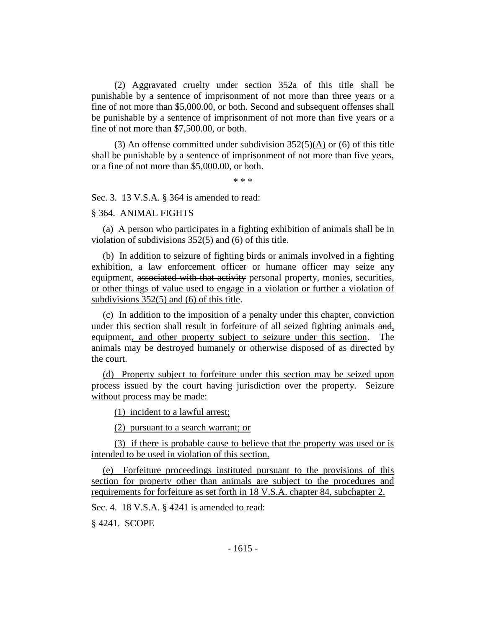(2) Aggravated cruelty under section 352a of this title shall be punishable by a sentence of imprisonment of not more than three years or a fine of not more than \$5,000.00, or both. Second and subsequent offenses shall be punishable by a sentence of imprisonment of not more than five years or a fine of not more than \$7,500.00, or both.

(3) An offense committed under subdivision  $352(5)(A)$  or (6) of this title shall be punishable by a sentence of imprisonment of not more than five years, or a fine of not more than \$5,000.00, or both.

\* \* \*

Sec. 3. 13 V.S.A. § 364 is amended to read:

#### § 364. ANIMAL FIGHTS

(a) A person who participates in a fighting exhibition of animals shall be in violation of subdivisions 352(5) and (6) of this title.

(b) In addition to seizure of fighting birds or animals involved in a fighting exhibition, a law enforcement officer or humane officer may seize any equipment, associated with that activity personal property, monies, securities, or other things of value used to engage in a violation or further a violation of subdivisions 352(5) and (6) of this title.

(c) In addition to the imposition of a penalty under this chapter, conviction under this section shall result in forfeiture of all seized fighting animals and, equipment, and other property subject to seizure under this section. The animals may be destroyed humanely or otherwise disposed of as directed by the court.

(d) Property subject to forfeiture under this section may be seized upon process issued by the court having jurisdiction over the property. Seizure without process may be made:

(1) incident to a lawful arrest;

(2) pursuant to a search warrant; or

(3) if there is probable cause to believe that the property was used or is intended to be used in violation of this section.

(e) Forfeiture proceedings instituted pursuant to the provisions of this section for property other than animals are subject to the procedures and requirements for forfeiture as set forth in 18 V.S.A. chapter 84, subchapter 2.

Sec. 4. 18 V.S.A. § 4241 is amended to read:

§ 4241. SCOPE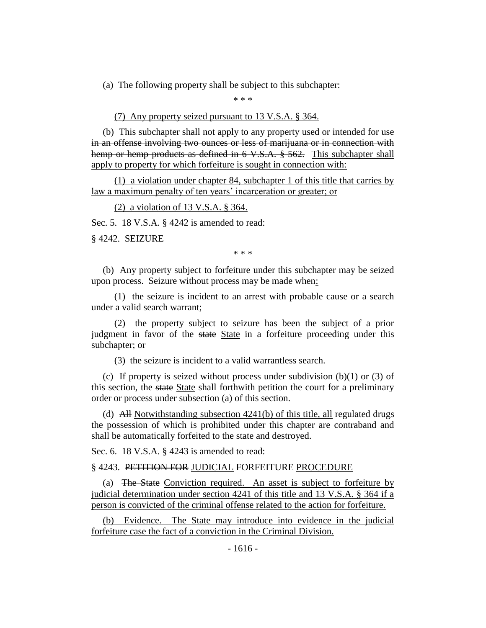(a) The following property shall be subject to this subchapter:

\* \* \*

(7) Any property seized pursuant to 13 V.S.A. § 364.

(b) This subchapter shall not apply to any property used or intended for use in an offense involving two ounces or less of marijuana or in connection with hemp or hemp products as defined in 6 V.S.A. § 562. This subchapter shall apply to property for which forfeiture is sought in connection with:

(1) a violation under chapter 84, subchapter 1 of this title that carries by law a maximum penalty of ten years' incarceration or greater; or

(2) a violation of 13 V.S.A. § 364.

Sec. 5. 18 V.S.A. § 4242 is amended to read:

§ 4242. SEIZURE

\* \* \*

(b) Any property subject to forfeiture under this subchapter may be seized upon process. Seizure without process may be made when:

(1) the seizure is incident to an arrest with probable cause or a search under a valid search warrant;

(2) the property subject to seizure has been the subject of a prior judgment in favor of the state State in a forfeiture proceeding under this subchapter; or

(3) the seizure is incident to a valid warrantless search.

(c) If property is seized without process under subdivision  $(b)(1)$  or  $(3)$  of this section, the state State shall forthwith petition the court for a preliminary order or process under subsection (a) of this section.

(d) All Notwithstanding subsection 4241(b) of this title, all regulated drugs the possession of which is prohibited under this chapter are contraband and shall be automatically forfeited to the state and destroyed.

Sec. 6. 18 V.S.A. § 4243 is amended to read:

§ 4243. PETITION FOR JUDICIAL FORFEITURE PROCEDURE

(a) The State Conviction required. An asset is subject to forfeiture by judicial determination under section 4241 of this title and 13 V.S.A. § 364 if a person is convicted of the criminal offense related to the action for forfeiture.

(b) Evidence. The State may introduce into evidence in the judicial forfeiture case the fact of a conviction in the Criminal Division.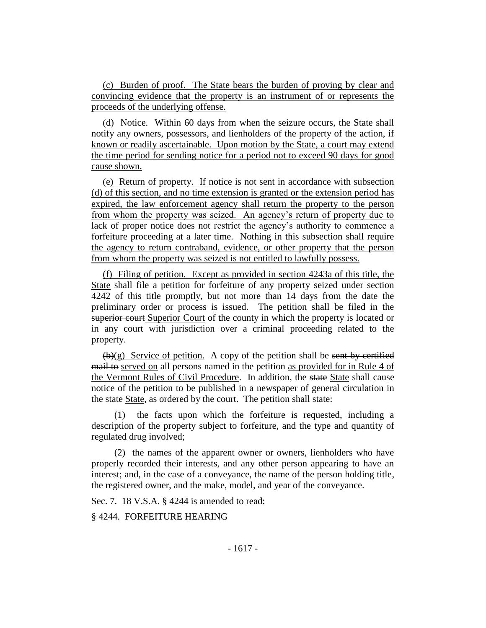(c) Burden of proof. The State bears the burden of proving by clear and convincing evidence that the property is an instrument of or represents the proceeds of the underlying offense.

(d) Notice. Within 60 days from when the seizure occurs, the State shall notify any owners, possessors, and lienholders of the property of the action, if known or readily ascertainable. Upon motion by the State, a court may extend the time period for sending notice for a period not to exceed 90 days for good cause shown.

(e) Return of property. If notice is not sent in accordance with subsection (d) of this section, and no time extension is granted or the extension period has expired, the law enforcement agency shall return the property to the person from whom the property was seized. An agency's return of property due to lack of proper notice does not restrict the agency's authority to commence a forfeiture proceeding at a later time. Nothing in this subsection shall require the agency to return contraband, evidence, or other property that the person from whom the property was seized is not entitled to lawfully possess.

(f) Filing of petition. Except as provided in section 4243a of this title, the State shall file a petition for forfeiture of any property seized under section 4242 of this title promptly, but not more than 14 days from the date the preliminary order or process is issued. The petition shall be filed in the superior court Superior Court of the county in which the property is located or in any court with jurisdiction over a criminal proceeding related to the property.

 $(b)(g)$  Service of petition. A copy of the petition shall be sent by certified mail to served on all persons named in the petition as provided for in Rule 4 of the Vermont Rules of Civil Procedure. In addition, the state State shall cause notice of the petition to be published in a newspaper of general circulation in the state State, as ordered by the court. The petition shall state:

(1) the facts upon which the forfeiture is requested, including a description of the property subject to forfeiture, and the type and quantity of regulated drug involved;

(2) the names of the apparent owner or owners, lienholders who have properly recorded their interests, and any other person appearing to have an interest; and, in the case of a conveyance, the name of the person holding title, the registered owner, and the make, model, and year of the conveyance.

Sec. 7. 18 V.S.A. § 4244 is amended to read:

§ 4244. FORFEITURE HEARING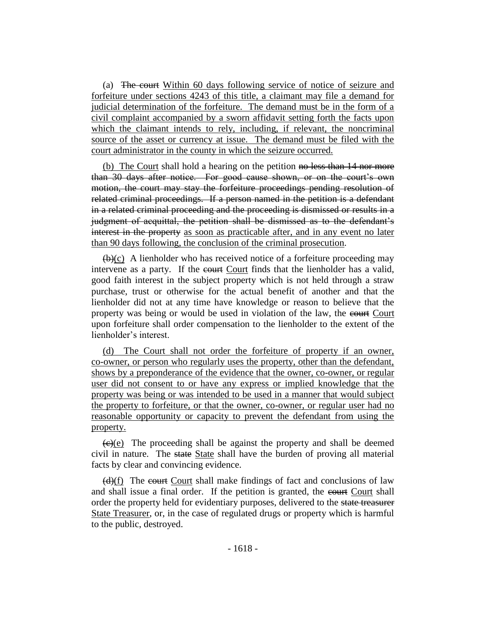(a) The court Within 60 days following service of notice of seizure and forfeiture under sections 4243 of this title, a claimant may file a demand for judicial determination of the forfeiture. The demand must be in the form of a civil complaint accompanied by a sworn affidavit setting forth the facts upon which the claimant intends to rely, including, if relevant, the noncriminal source of the asset or currency at issue. The demand must be filed with the court administrator in the county in which the seizure occurred.

(b) The Court shall hold a hearing on the petition no less than 14 nor more than 30 days after notice. For good cause shown, or on the court's own motion, the court may stay the forfeiture proceedings pending resolution of related criminal proceedings. If a person named in the petition is a defendant in a related criminal proceeding and the proceeding is dismissed or results in a judgment of acquittal, the petition shall be dismissed as to the defendant's interest in the property as soon as practicable after, and in any event no later than 90 days following, the conclusion of the criminal prosecution.

 $(\theta)(c)$  A lienholder who has received notice of a forfeiture proceeding may intervene as a party. If the court Court finds that the lienholder has a valid, good faith interest in the subject property which is not held through a straw purchase, trust or otherwise for the actual benefit of another and that the lienholder did not at any time have knowledge or reason to believe that the property was being or would be used in violation of the law, the court Court upon forfeiture shall order compensation to the lienholder to the extent of the lienholder's interest.

(d) The Court shall not order the forfeiture of property if an owner, co-owner, or person who regularly uses the property, other than the defendant, shows by a preponderance of the evidence that the owner, co-owner, or regular user did not consent to or have any express or implied knowledge that the property was being or was intended to be used in a manner that would subject the property to forfeiture, or that the owner, co-owner, or regular user had no reasonable opportunity or capacity to prevent the defendant from using the property.

 $\left(\frac{f(x)}{g(x)}\right)$ . The proceeding shall be against the property and shall be deemed civil in nature. The state State shall have the burden of proving all material facts by clear and convincing evidence.

(d)(f) The court Court shall make findings of fact and conclusions of law and shall issue a final order. If the petition is granted, the court shall order the property held for evidentiary purposes, delivered to the state treasurer State Treasurer, or, in the case of regulated drugs or property which is harmful to the public, destroyed.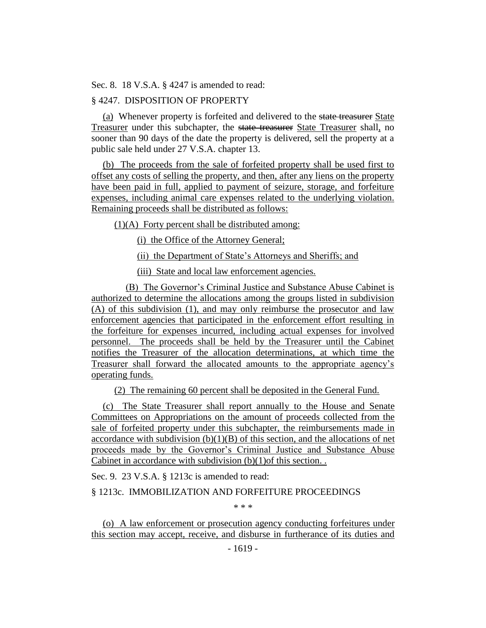Sec. 8. 18 V.S.A. § 4247 is amended to read:

# § 4247. DISPOSITION OF PROPERTY

(a) Whenever property is forfeited and delivered to the state treasurer State Treasurer under this subchapter, the state treasurer State Treasurer shall, no sooner than 90 days of the date the property is delivered, sell the property at a public sale held under 27 V.S.A. chapter 13.

(b) The proceeds from the sale of forfeited property shall be used first to offset any costs of selling the property, and then, after any liens on the property have been paid in full, applied to payment of seizure, storage, and forfeiture expenses, including animal care expenses related to the underlying violation. Remaining proceeds shall be distributed as follows:

(1)(A) Forty percent shall be distributed among:

(i) the Office of the Attorney General;

(ii) the Department of State's Attorneys and Sheriffs; and

(iii) State and local law enforcement agencies.

(B) The Governor's Criminal Justice and Substance Abuse Cabinet is authorized to determine the allocations among the groups listed in subdivision (A) of this subdivision (1), and may only reimburse the prosecutor and law enforcement agencies that participated in the enforcement effort resulting in the forfeiture for expenses incurred, including actual expenses for involved personnel. The proceeds shall be held by the Treasurer until the Cabinet notifies the Treasurer of the allocation determinations, at which time the Treasurer shall forward the allocated amounts to the appropriate agency's operating funds.

(2) The remaining 60 percent shall be deposited in the General Fund.

(c) The State Treasurer shall report annually to the House and Senate Committees on Appropriations on the amount of proceeds collected from the sale of forfeited property under this subchapter, the reimbursements made in accordance with subdivision  $(b)(1)(B)$  of this section, and the allocations of net proceeds made by the Governor's Criminal Justice and Substance Abuse Cabinet in accordance with subdivision (b)(1)of this section. .

Sec. 9. 23 V.S.A. § 1213c is amended to read:

§ 1213c. IMMOBILIZATION AND FORFEITURE PROCEEDINGS

\* \* \*

(o) A law enforcement or prosecution agency conducting forfeitures under this section may accept, receive, and disburse in furtherance of its duties and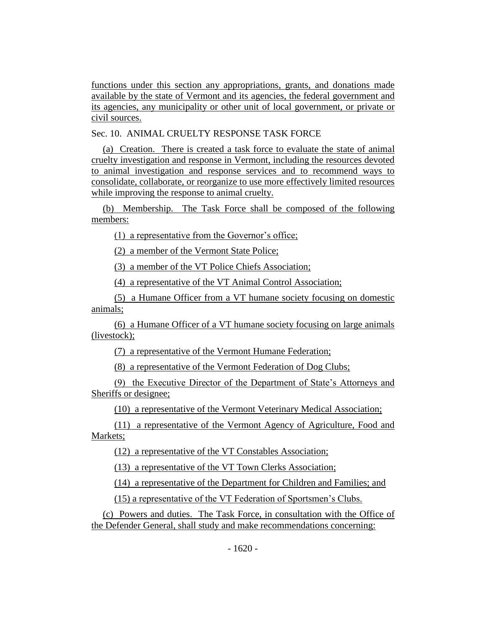functions under this section any appropriations, grants, and donations made available by the state of Vermont and its agencies, the federal government and its agencies, any municipality or other unit of local government, or private or civil sources.

Sec. 10. ANIMAL CRUELTY RESPONSE TASK FORCE

(a) Creation. There is created a task force to evaluate the state of animal cruelty investigation and response in Vermont, including the resources devoted to animal investigation and response services and to recommend ways to consolidate, collaborate, or reorganize to use more effectively limited resources while improving the response to animal cruelty.

(b) Membership. The Task Force shall be composed of the following members:

(1) a representative from the Governor's office;

(2) a member of the Vermont State Police;

(3) a member of the VT Police Chiefs Association;

(4) a representative of the VT Animal Control Association;

(5) a Humane Officer from a VT humane society focusing on domestic animals;

(6) a Humane Officer of a VT humane society focusing on large animals (livestock);

(7) a representative of the Vermont Humane Federation;

(8) a representative of the Vermont Federation of Dog Clubs;

(9) the Executive Director of the Department of State's Attorneys and Sheriffs or designee;

(10) a representative of the Vermont Veterinary Medical Association;

(11) a representative of the Vermont Agency of Agriculture, Food and Markets;

(12) a representative of the VT Constables Association;

(13) a representative of the VT Town Clerks Association;

(14) a representative of the Department for Children and Families; and

(15) a representative of the VT Federation of Sportsmen's Clubs.

(c) Powers and duties. The Task Force, in consultation with the Office of the Defender General, shall study and make recommendations concerning: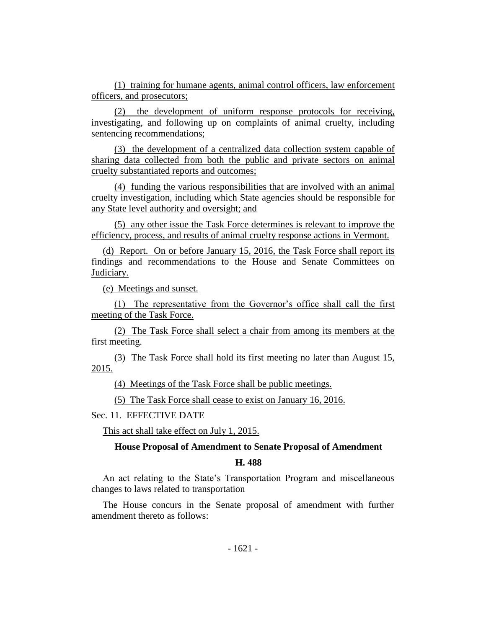(1) training for humane agents, animal control officers, law enforcement officers, and prosecutors;

(2) the development of uniform response protocols for receiving, investigating, and following up on complaints of animal cruelty, including sentencing recommendations;

(3) the development of a centralized data collection system capable of sharing data collected from both the public and private sectors on animal cruelty substantiated reports and outcomes;

(4) funding the various responsibilities that are involved with an animal cruelty investigation, including which State agencies should be responsible for any State level authority and oversight; and

(5) any other issue the Task Force determines is relevant to improve the efficiency, process, and results of animal cruelty response actions in Vermont.

(d) Report. On or before January 15, 2016, the Task Force shall report its findings and recommendations to the House and Senate Committees on Judiciary.

(e) Meetings and sunset.

(1) The representative from the Governor's office shall call the first meeting of the Task Force.

(2) The Task Force shall select a chair from among its members at the first meeting.

(3) The Task Force shall hold its first meeting no later than August 15, 2015.

(4) Meetings of the Task Force shall be public meetings.

(5) The Task Force shall cease to exist on January 16, 2016.

Sec. 11. EFFECTIVE DATE

This act shall take effect on July 1, 2015.

#### **House Proposal of Amendment to Senate Proposal of Amendment**

#### **H. 488**

An act relating to the State's Transportation Program and miscellaneous changes to laws related to transportation

The House concurs in the Senate proposal of amendment with further amendment thereto as follows: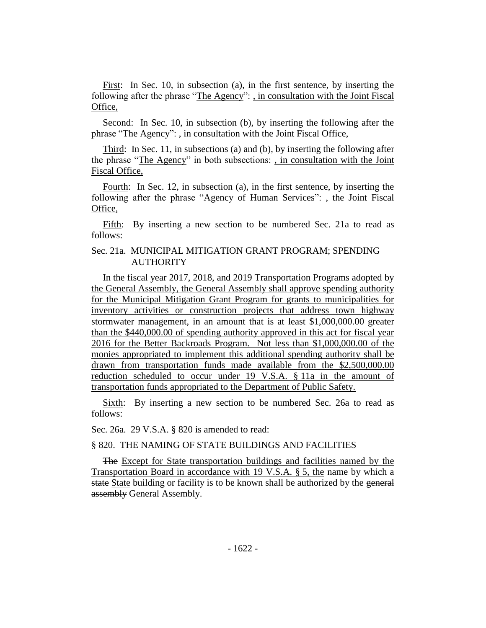First: In Sec. 10, in subsection (a), in the first sentence, by inserting the following after the phrase "The Agency": , in consultation with the Joint Fiscal Office,

Second: In Sec. 10, in subsection (b), by inserting the following after the phrase "The Agency": , in consultation with the Joint Fiscal Office,

Third: In Sec. 11, in subsections (a) and (b), by inserting the following after the phrase "The Agency" in both subsections: , in consultation with the Joint Fiscal Office,

Fourth: In Sec. 12, in subsection (a), in the first sentence, by inserting the following after the phrase "Agency of Human Services": , the Joint Fiscal Office,

Fifth: By inserting a new section to be numbered Sec. 21a to read as follows:

# Sec. 21a. MUNICIPAL MITIGATION GRANT PROGRAM; SPENDING AUTHORITY

In the fiscal year 2017, 2018, and 2019 Transportation Programs adopted by the General Assembly, the General Assembly shall approve spending authority for the Municipal Mitigation Grant Program for grants to municipalities for inventory activities or construction projects that address town highway stormwater management, in an amount that is at least \$1,000,000.00 greater than the \$440,000.00 of spending authority approved in this act for fiscal year 2016 for the Better Backroads Program. Not less than \$1,000,000.00 of the monies appropriated to implement this additional spending authority shall be drawn from transportation funds made available from the \$2,500,000.00 reduction scheduled to occur under 19 V.S.A. § 11a in the amount of transportation funds appropriated to the Department of Public Safety.

Sixth: By inserting a new section to be numbered Sec. 26a to read as follows:

Sec. 26a. 29 V.S.A. § 820 is amended to read:

# § 820. THE NAMING OF STATE BUILDINGS AND FACILITIES

The Except for State transportation buildings and facilities named by the Transportation Board in accordance with 19 V.S.A. § 5, the name by which a state State building or facility is to be known shall be authorized by the general assembly General Assembly.